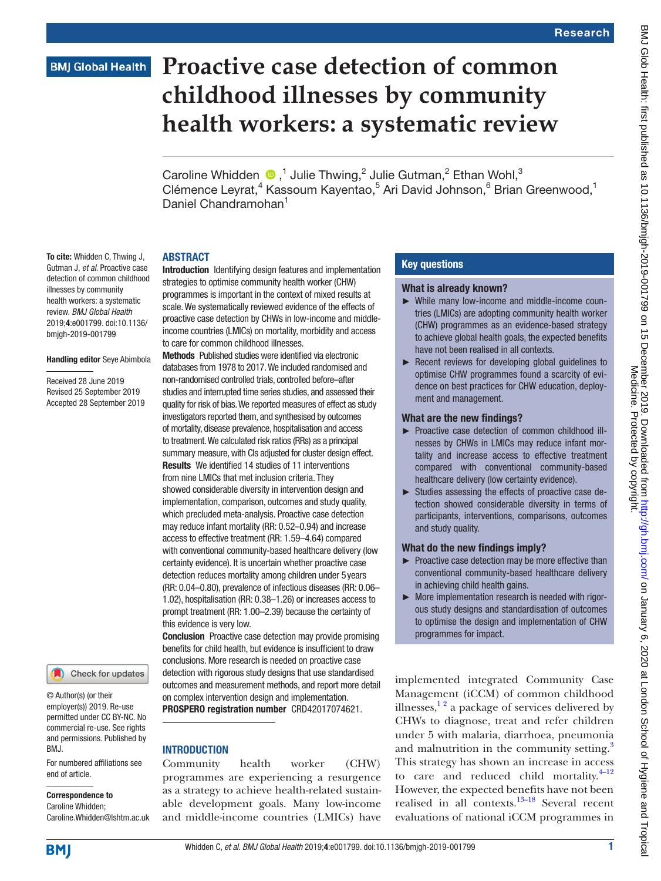To cite: Whidden C, Thwing J, Gutman J, *et al*. Proactive case detection of common childhood illnesses by community health workers: a systematic review. *BMJ Global Health* 2019;4:e001799. doi:10.1136/ bmjgh-2019-001799

Handling editor Seye Abimbola

Received 28 June 2019 Revised 25 September 2019 Accepted 28 September 2019

# **Proactive case detection of common childhood illnesses by community health workers: a systematic review**

Caroline Whidden  $\bullet$ ,<sup>1</sup> Julie Thwing,<sup>2</sup> Julie Gutman,<sup>2</sup> Ethan Wohl,<sup>3</sup> Clémence Leyrat,<sup>4</sup> Kassoum Kayentao,<sup>5</sup> Ari David Johnson,<sup>6</sup> Brian Greenwood,<sup>1</sup> Daniel Chandramohan<sup>1</sup>

# **ABSTRACT**

Introduction Identifying design features and implementation strategies to optimise community health worker (CHW) programmes is important in the context of mixed results at scale. We systematically reviewed evidence of the effects of proactive case detection by CHWs in low-income and middleincome countries (LMICs) on mortality, morbidity and access to care for common childhood illnesses.

Methods Published studies were identified via electronic databases from 1978 to 2017. We included randomised and non-randomised controlled trials, controlled before–after studies and interrupted time series studies, and assessed their quality for risk of bias. We reported measures of effect as study investigators reported them, and synthesised by outcomes of mortality, disease prevalence, hospitalisation and access to treatment. We calculated risk ratios (RRs) as a principal summary measure, with CIs adjusted for cluster design effect. Results We identified 14 studies of 11 interventions from nine LMICs that met inclusion criteria. They showed considerable diversity in intervention design and implementation, comparison, outcomes and study quality, which precluded meta-analysis. Proactive case detection may reduce infant mortality (RR: 0.52–0.94) and increase access to effective treatment (RR: 1.59–4.64) compared with conventional community-based healthcare delivery (low certainty evidence). It is uncertain whether proactive case detection reduces mortality among children under 5years (RR: 0.04–0.80), prevalence of infectious diseases (RR: 0.06– 1.02), hospitalisation (RR: 0.38–1.26) or increases access to prompt treatment (RR: 1.00–2.39) because the certainty of this evidence is very low.

Conclusion Proactive case detection may provide promising benefits for child health, but evidence is insufficient to draw conclusions. More research is needed on proactive case detection with rigorous study designs that use standardised outcomes and measurement methods, and report more detail on complex intervention design and implementation. PROSPERO registration number CRD42017074621.

# **INTRODUCTION**

Community health worker (CHW) programmes are experiencing a resurgence as a strategy to achieve health-related sustainable development goals. Many low-income and middle-income countries (LMICs) have

# Key questions

## What is already known?

- ► While many low-income and middle-income countries (LMICs) are adopting community health worker (CHW) programmes as an evidence-based strategy to achieve global health goals, the expected benefits have not been realised in all contexts.
- ► Recent reviews for developing global guidelines to optimise CHW programmes found a scarcity of evidence on best practices for CHW education, deployment and management.

# What are the new findings?

- ► Proactive case detection of common childhood illnesses by CHWs in LMICs may reduce infant mortality and increase access to effective treatment compared with conventional community-based healthcare delivery (low certainty evidence).
- ► Studies assessing the effects of proactive case detection showed considerable diversity in terms of participants, interventions, comparisons, outcomes and study quality.

# What do the new findings imply?

- ► Proactive case detection may be more effective than conventional community-based healthcare delivery in achieving child health gains.
- ► More implementation research is needed with rigorous study designs and standardisation of outcomes to optimise the design and implementation of CHW programmes for impact.

implemented integrated Community Case Management (iCCM) of common childhood illnesses, $\frac{1}{2}$  a package of services delivered by CHWs to diagnose, treat and refer children under 5 with malaria, diarrhoea, pneumonia and malnutrition in the community setting.<sup>[3](#page-16-1)</sup> This strategy has shown an increase in access to care and reduced child mortality. $4-12$ However, the expected benefits have not been realised in all contexts. $13-18$  Several recent evaluations of national iCCM programmes in

Caroline Whidden; Caroline.Whidden@lshtm.ac.uk

end of article.

BMJ.

Correspondence to

© Author(s) (or their employer(s)) 2019. Re-use permitted under CC BY-NC. No commercial re-use. See rights and permissions. Published by

For numbered affiliations see

Check for updates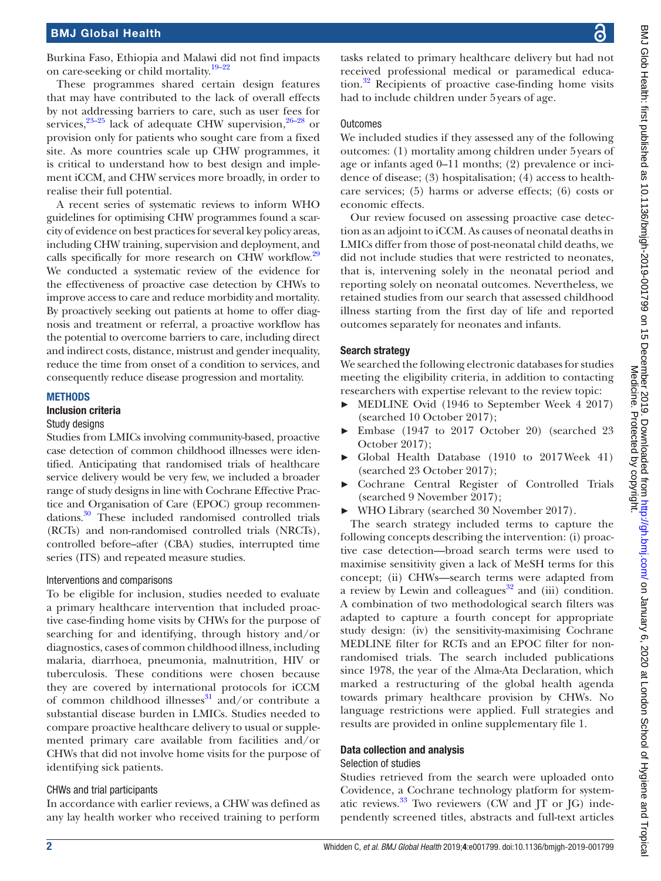Burkina Faso, Ethiopia and Malawi did not find impacts on care-seeking or child mortality.<sup>19-22</sup>

These programmes shared certain design features that may have contributed to the lack of overall effects by not addressing barriers to care, such as user fees for services,  $23-25$  lack of adequate CHW supervision,  $26-28$  or provision only for patients who sought care from a fixed site. As more countries scale up CHW programmes, it is critical to understand how to best design and implement iCCM, and CHW services more broadly, in order to realise their full potential.

A recent series of systematic reviews to inform WHO guidelines for optimising CHW programmes found a scarcity of evidence on best practices for several key policy areas, including CHW training, supervision and deployment, and calls specifically for more research on CHW workflow.<sup>[29](#page-16-7)</sup> We conducted a systematic review of the evidence for the effectiveness of proactive case detection by CHWs to improve access to care and reduce morbidity and mortality. By proactively seeking out patients at home to offer diagnosis and treatment or referral, a proactive workflow has the potential to overcome barriers to care, including direct and indirect costs, distance, mistrust and gender inequality, reduce the time from onset of a condition to services, and consequently reduce disease progression and mortality.

#### **METHODS**

#### Inclusion criteria

#### Study designs

Studies from LMICs involving community-based, proactive case detection of common childhood illnesses were identified. Anticipating that randomised trials of healthcare service delivery would be very few, we included a broader range of study designs in line with Cochrane Effective Practice and Organisation of Care (EPOC) group recommendations[.30](#page-16-8) These included randomised controlled trials (RCTs) and non-randomised controlled trials (NRCTs), controlled before–after (CBA) studies, interrupted time series (ITS) and repeated measure studies.

#### Interventions and comparisons

To be eligible for inclusion, studies needed to evaluate a primary healthcare intervention that included proactive case-finding home visits by CHWs for the purpose of searching for and identifying, through history and/or diagnostics, cases of common childhood illness, including malaria, diarrhoea, pneumonia, malnutrition, HIV or tuberculosis. These conditions were chosen because they are covered by international protocols for iCCM of common childhood illnesses $\frac{31}{1}$  and/or contribute a substantial disease burden in LMICs. Studies needed to compare proactive healthcare delivery to usual or supplemented primary care available from facilities and/or CHWs that did not involve home visits for the purpose of identifying sick patients.

# CHWs and trial participants

In accordance with earlier reviews, a CHW was defined as any lay health worker who received training to perform

tasks related to primary healthcare delivery but had not received professional medical or paramedical education. $32$  Recipients of proactive case-finding home visits had to include children under 5years of age.

## **Outcomes**

We included studies if they assessed any of the following outcomes: (1) mortality among children under 5years of age or infants aged 0–11 months; (2) prevalence or incidence of disease; (3) hospitalisation; (4) access to healthcare services; (5) harms or adverse effects; (6) costs or economic effects.

Our review focused on assessing proactive case detection as an adjoint to iCCM. As causes of neonatal deaths in LMICs differ from those of post-neonatal child deaths, we did not include studies that were restricted to neonates, that is, intervening solely in the neonatal period and reporting solely on neonatal outcomes. Nevertheless, we retained studies from our search that assessed childhood illness starting from the first day of life and reported outcomes separately for neonates and infants.

## Search strategy

We searched the following electronic databases for studies meeting the eligibility criteria, in addition to contacting researchers with expertise relevant to the review topic:

- ► MEDLINE Ovid (1946 to September Week 4 2017) (searched 10 October 2017);
- Embase (1947 to 2017 October 20) (searched 23 October 2017);
- Global Health Database (1910 to 2017Week 41) (searched 23 October 2017);
- ► Cochrane Central Register of Controlled Trials (searched 9 November 2017);
- ► WHO Library (searched 30 November 2017).

The search strategy included terms to capture the following concepts describing the intervention: (i) proactive case detection—broad search terms were used to maximise sensitivity given a lack of MeSH terms for this concept; (ii) CHWs—search terms were adapted from a review by Lewin and colleagues $32$  and (iii) condition. A combination of two methodological search filters was adapted to capture a fourth concept for appropriate study design: (iv) the sensitivity-maximising Cochrane MEDLINE filter for RCTs and an EPOC filter for nonrandomised trials. The search included publications since 1978, the year of the Alma-Ata Declaration, which marked a restructuring of the global health agenda towards primary healthcare provision by CHWs. No language restrictions were applied. Full strategies and results are provided in [online supplementary file 1.](https://dx.doi.org/10.1136/bmjgh-2019-001799)

# Data collection and analysis

#### Selection of studies

Studies retrieved from the search were uploaded onto Covidence, a Cochrane technology platform for systematic reviews. $33$  Two reviewers (CW and JT or JG) independently screened titles, abstracts and full-text articles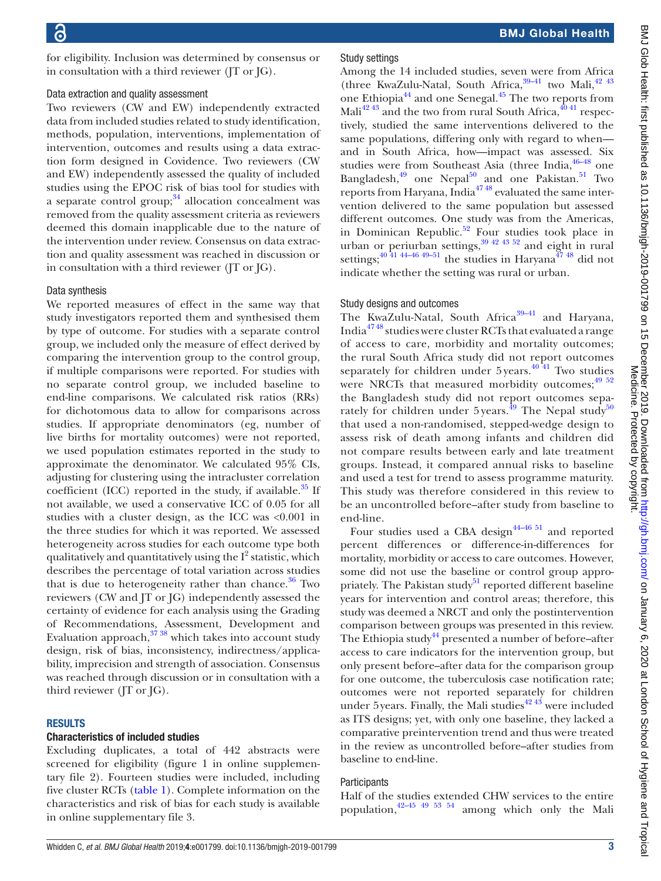for eligibility. Inclusion was determined by consensus or in consultation with a third reviewer (JT or JG).

#### Data extraction and quality assessment

Two reviewers (CW and EW) independently extracted data from included studies related to study identification, methods, population, interventions, implementation of intervention, outcomes and results using a data extraction form designed in Covidence. Two reviewers (CW and EW) independently assessed the quality of included studies using the EPOC risk of bias tool for studies with a separate control group;  $34$  allocation concealment was removed from the quality assessment criteria as reviewers deemed this domain inapplicable due to the nature of the intervention under review. Consensus on data extraction and quality assessment was reached in discussion or in consultation with a third reviewer (JT or JG).

#### Data synthesis

We reported measures of effect in the same way that study investigators reported them and synthesised them by type of outcome. For studies with a separate control group, we included only the measure of effect derived by comparing the intervention group to the control group, if multiple comparisons were reported. For studies with no separate control group, we included baseline to end-line comparisons. We calculated risk ratios (RRs) for dichotomous data to allow for comparisons across studies. If appropriate denominators (eg, number of live births for mortality outcomes) were not reported, we used population estimates reported in the study to approximate the denominator. We calculated 95% CIs, adjusting for clustering using the intracluster correlation coefficient (ICC) reported in the study, if available.<sup>35</sup> If not available, we used a conservative ICC of 0.05 for all studies with a cluster design, as the ICC was <0.001 in the three studies for which it was reported. We assessed heterogeneity across studies for each outcome type both qualitatively and quantitatively using the  $I^2$  statistic, which describes the percentage of total variation across studies that is due to heterogeneity rather than chance.<sup>36</sup> Two reviewers (CW and JT or JG) independently assessed the certainty of evidence for each analysis using the Grading of Recommendations, Assessment, Development and Evaluation approach, $37 38$  which takes into account study design, risk of bias, inconsistency, indirectness/applicability, imprecision and strength of association. Consensus was reached through discussion or in consultation with a third reviewer (JT or JG).

## **RESULTS**

#### Characteristics of included studies

Excluding duplicates, a total of 442 abstracts were screened for eligibility (figure 1 in [online supplemen](https://dx.doi.org/10.1136/bmjgh-2019-001799)[tary file 2](https://dx.doi.org/10.1136/bmjgh-2019-001799)). Fourteen studies were included, including five cluster RCTs ([table](#page-3-0) 1). Complete information on the characteristics and risk of bias for each study is available in [online supplementary file 3](https://dx.doi.org/10.1136/bmjgh-2019-001799).

## Study settings

Among the 14 included studies, seven were from Africa (three KwaZulu-Natal, South Africa,  $39-41$  two Mali,  $42\frac{43}{2}$ one Ethiopia<sup>44</sup> and one Senegal.<sup>45</sup> The two reports from Mali<sup>42 43</sup> and the two from rural South Africa,  $40\frac{40\frac{41}{1}}{41}$  respectively, studied the same interventions delivered to the same populations, differing only with regard to when and in South Africa, how—impact was assessed. Six studies were from Southeast Asia (three India,  $46-48$  one Bangladesh, $^{49}$  one Nepal<sup>50</sup> and one Pakistan.<sup>51</sup> Two reports from Haryana, India<sup>4748</sup> evaluated the same intervention delivered to the same population but assessed different outcomes. One study was from the Americas, in Dominican Republic.<sup>52</sup> Four studies took place in urban or periurban settings,  $39\frac{42\frac{43}{52}}{31}$  and eight in rural settings;<sup>40 41 44–46 49–51</sup> the studies in Haryana<sup>[47 48](#page-17-9)</sup> did not indicate whether the setting was rural or urban.

## Study designs and outcomes

The KwaZulu-Natal, South Africa<sup>39-41</sup> and Haryana, India[47 48](#page-17-9) studies were cluster RCTs that evaluated a range of access to care, morbidity and mortality outcomes; the rural South Africa study did not report outcomes separately for children under  $5$  years.<sup>40 41</sup> Two studies were NRCTs that measured morbidity outcomes;<sup>[49 52](#page-17-6)</sup> the Bangladesh study did not report outcomes separately for children under  $5$ years.<sup>49</sup> The Nepal study<sup>50</sup> that used a non-randomised, stepped-wedge design to assess risk of death among infants and children did not compare results between early and late treatment groups. Instead, it compared annual risks to baseline and used a test for trend to assess programme maturity. This study was therefore considered in this review to be an uncontrolled before–after study from baseline to end-line.

Four studies used a CBA design<sup>44-46 51</sup> and reported percent differences or difference-in-differences for mortality, morbidity or access to care outcomes. However, some did not use the baseline or control group appropriately. The Pakistan study $51$  reported different baseline years for intervention and control areas; therefore, this study was deemed a NRCT and only the postintervention comparison between groups was presented in this review. The Ethiopia study $44$  presented a number of before–after access to care indicators for the intervention group, but only present before–after data for the comparison group for one outcome, the tuberculosis case notification rate; outcomes were not reported separately for children under 5 years. Finally, the Mali studies<sup>[42 43](#page-17-1)</sup> were included as ITS designs; yet, with only one baseline, they lacked a comparative preintervention trend and thus were treated in the review as uncontrolled before–after studies from baseline to end-line.

# **Participants**

Half of the studies extended CHW services to the entire population,[42–45 49 53 54](#page-17-1) among which only the Mali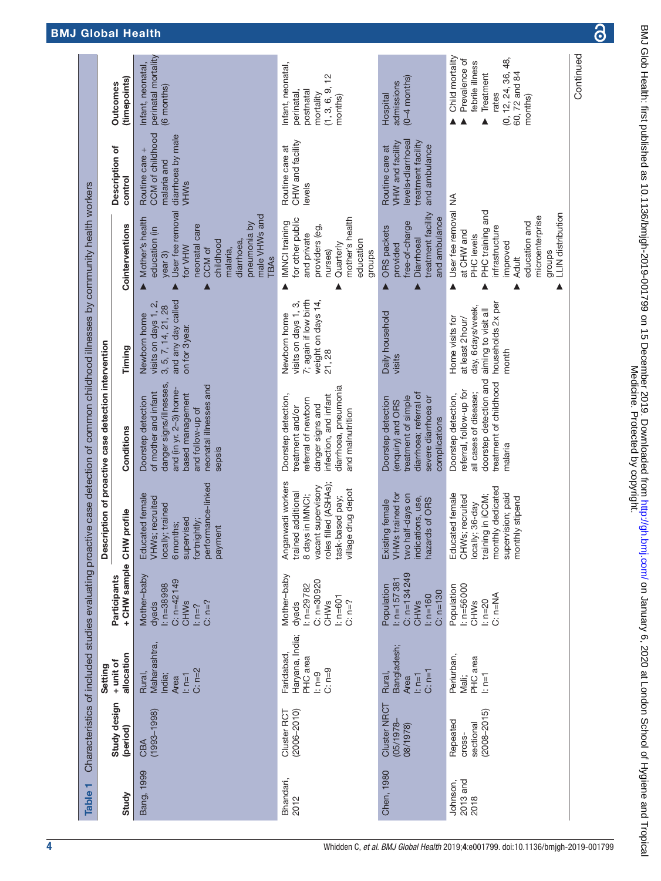<span id="page-3-0"></span>

|                                                    |                                                                   |                                                                                             |                                                                                                                                                          | Characteristics of included studies evaluating proactive case detection of common childhood illnesses by community health workers                                           |                                                                                                               |                                                                                                                                                                                                    |                                                                                                 |                                                                                                                              |
|----------------------------------------------------|-------------------------------------------------------------------|---------------------------------------------------------------------------------------------|----------------------------------------------------------------------------------------------------------------------------------------------------------|-----------------------------------------------------------------------------------------------------------------------------------------------------------------------------|---------------------------------------------------------------------------------------------------------------|----------------------------------------------------------------------------------------------------------------------------------------------------------------------------------------------------|-------------------------------------------------------------------------------------------------|------------------------------------------------------------------------------------------------------------------------------|
|                                                    | Setting                                                           |                                                                                             | Des                                                                                                                                                      | cription of proactive case detection intervention                                                                                                                           |                                                                                                               |                                                                                                                                                                                                    |                                                                                                 |                                                                                                                              |
| Study design<br>(period)                           | allocation<br>+ unit of                                           | + CHW sample<br>Participants                                                                | CHW profile                                                                                                                                              | Conditions                                                                                                                                                                  | Timing                                                                                                        | Cointerventions                                                                                                                                                                                    | Description of<br>control                                                                       | (timepoints)<br><b>Outcomes</b>                                                                                              |
| $(1993 - 1998)$<br>CBA                             | Maharashtra,<br>$C: n=2$<br>Rural,<br>$l: n=1$<br>India;<br>Area  | Mother-baby<br>$C: n=42149$<br>$1: n = 38998$<br>$C: n=?$<br><b>CHWs</b><br>dyads<br>$ln=?$ | performance-linked<br>Educated female<br>VHWs; recruited<br>locally; trained<br>supervised<br>fortnightly;<br>6months;<br>payment                        | danger signs/illnesses,<br>neonatal illnesses and<br>and (in yr. 2-3) home-<br>of mother and infant<br>based management<br>Doorstep detection<br>and follow-up of<br>sepsis | and any day called<br>نې<br>:<br>3, 5, 7, 14, 21, 28<br>Newborn home<br>visits on days 1<br>on for 3year.     | User fee removal<br>male VHWs and<br>Mother's health<br>pneumonia by<br>neonatal care<br>education (in<br>childhood<br>diarrhoea,<br>for VHW<br>CCM of<br>malaria,<br>year 3)<br><b>TBAs</b>       | CCM of childhood<br>diarrhoea by male<br>Routine care +<br>malaria and<br>VHWs                  | perinatal mortality<br>Infant, neonatal,<br>(6 months)                                                                       |
| $(2006 - 2010)$<br>Cluster RCT                     | Haryana, India;<br>Faridabad,<br>PHC area<br>$C: n=9$<br>$l: n=9$ | Mother-baby<br>$C: n = 30920$<br>$ln - 29782$<br>$ln = 601$<br>$C: n=?$<br>CHWs<br>dyads    | Anganwadi workers<br>roles filled (ASHAs);<br>vacant supervisory<br>le drug depot<br>trained additional<br>8 days in IMNCI;<br>task-based pay;<br>villag | diarrhoea, pneumonia<br>infection, and infant<br>Doorstep detection,<br>referral of newborn<br>danger signs and<br>treatment and/or<br>and malnutrition                     | 7; again if low birth<br>weight on days 14,<br>visits on days 1, 3,<br>Newborn home<br>21,28                  | mother's health<br>for other public<br>IMNCI training<br>providers (eg,<br>and private<br>education<br>Quarterly<br>groups<br>nurses)                                                              | CHW and facility<br>Routine care at<br>levels                                                   | Infant, neonatal,<br>으<br>(1, 3, 6, 9,<br>postnatal<br>perinatal<br>mortality<br>months)                                     |
| <b>Cluster NRCT</b><br>$(05/1978 -$<br>08/1978)    | Bangladesh;<br>$C: n=1$<br>$l$ : n=1<br>Rural,<br>Area            | $C: n=134249$<br>$1: n = 157381$<br>Population<br>$C: n=130$<br>$ln = 160$<br><b>CHWs</b>   | VHWs trained for<br>two half-days on<br>indications, use,<br>hazards of ORS<br>Existing female                                                           | diarrhoea; referral of<br>treatment of simple<br>severe diarrhoea or<br>Doorstep detection<br>(enquiry) and ORS<br>complications                                            | Daily household<br>visits                                                                                     | treatment facility<br>and ambulance<br>free-of-charge<br>ORS packets<br>Diarrhoeal<br>provided<br>Δ                                                                                                | levels+diarrhoeal<br>treatment facility<br>VHW and facility<br>and ambulance<br>Routine care at | $(0-4$ months)<br>admissions<br>Hospital                                                                                     |
| $(2008 - 2015)$<br>Repeated<br>sectional<br>cross- | Periurban,<br>PHC area<br>$l: n=1$<br>Mali;                       | $ln = 56000$<br>Population<br>C: n=NA<br>$ln = 20$<br>CHWs                                  | monthly dedicated<br>supervision; paid<br>Educated female<br>training in iCCM;<br>CHWs; recruited<br>monthly stipend<br>lly; 36-day<br>local             | doorstep detection and<br>treatment of childhood<br>referral, follow-up for<br>all cases of disease;<br>Doorstep detection,<br>malaria                                      | households 2x per<br>day, 6 days/week,<br>aiming to visit all<br>Home visits for<br>at least 2 hour/<br>month | User fee removal<br>PHC training and<br><b>LLIN</b> distribution<br>microenterprise<br>education and<br>infrastructure<br>at CHW and<br>PHC levels<br>improved<br>groups<br><b>Adult</b><br>▲<br>▲ | ≸                                                                                               | Child mortality<br>Prevalence of<br>(0, 12, 24, 36, 48,<br>febrile illness<br>60, 72 and 84<br>Treatment<br>rates<br>months) |
|                                                    |                                                                   |                                                                                             |                                                                                                                                                          |                                                                                                                                                                             |                                                                                                               |                                                                                                                                                                                                    |                                                                                                 | Continued                                                                                                                    |

 $\overline{\partial}$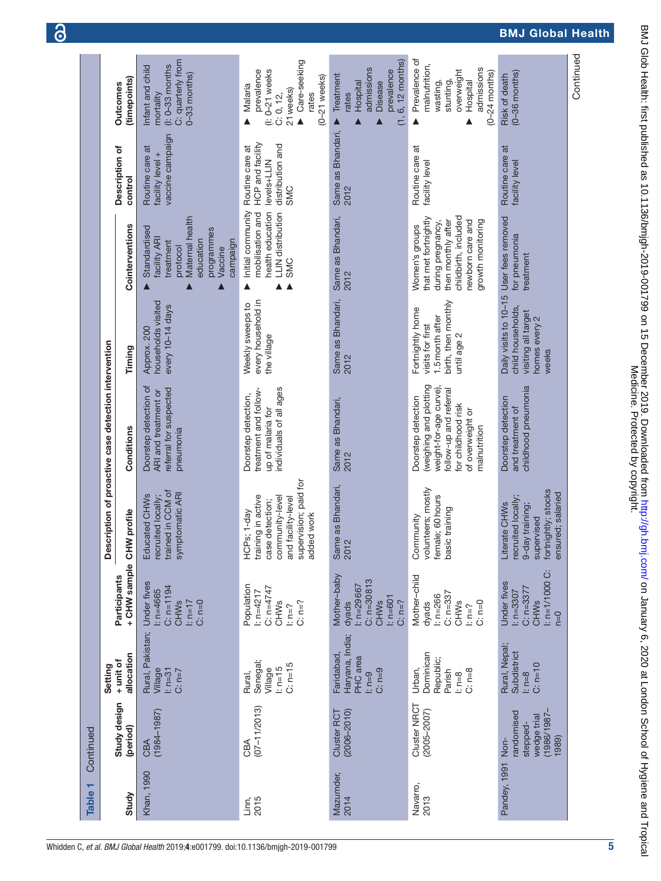| Table <sub>1</sub> | Continued                                                            |                                                                    |                                                                                                 |                                                                                                                                      |                                                                                                                                                            |                                                                                               |                                                                                                                                                    |                                                                                      |                                                                                                                     |
|--------------------|----------------------------------------------------------------------|--------------------------------------------------------------------|-------------------------------------------------------------------------------------------------|--------------------------------------------------------------------------------------------------------------------------------------|------------------------------------------------------------------------------------------------------------------------------------------------------------|-----------------------------------------------------------------------------------------------|----------------------------------------------------------------------------------------------------------------------------------------------------|--------------------------------------------------------------------------------------|---------------------------------------------------------------------------------------------------------------------|
|                    |                                                                      | Setting                                                            |                                                                                                 |                                                                                                                                      | Description of proactive case detection intervention                                                                                                       |                                                                                               |                                                                                                                                                    |                                                                                      |                                                                                                                     |
| Study              | Study design<br>(period)                                             | allocation<br>+ unit of                                            | +CHW sample CHW<br>Participants                                                                 | profile                                                                                                                              | Conditions                                                                                                                                                 | Timing                                                                                        | Cointerventions                                                                                                                                    | Description of<br>control                                                            | (timepoints)<br>Outcomes                                                                                            |
| <b>Khan, 1990</b>  | $(1984 - 1987)$<br>CBA                                               | Rural, Pakistan;<br>$l: n=31$<br>Village<br>$C: n=7$               | <b>Under fives</b><br>$C: n = 1194$<br>$1: n = 4665$<br>$ln n = 17$<br>$C: n=0$<br><b>CHWs</b>  | trained in CCM of<br>symptomatic ARI<br>Educated CHWs<br>recruited locally;                                                          | Doorstep detection of<br>referral for suspected<br>ARI and treatment or<br>pneumonia                                                                       | households visited<br>every 10-14 days<br>Approx. 200                                         | Maternal health<br>Standardised<br>programmes<br>facility ARI<br>education<br>campaign<br>treatment<br>protocol<br>Vaccine                         | vaccine campaign<br>Routine care at<br>facility level +                              | C: quarterly from<br>$(l: 0-33$ months<br>Infant and child<br>$0-33$ months)<br>mortality                           |
| 2015<br>Linn,      | $(07 - 11/2013)$<br>CBA                                              | Senegal;<br>$C: n=15$<br>$ln=15$<br>Village<br>Rural,              | Population<br>$C: n=4747$<br>$1: n = 4217$<br>$C: n=?$<br><b>CHWs</b><br>$ln=?$                 | supervision; paid for<br>training in active<br>community-level<br>and facility-level<br>case detection;<br>HCPs; 1-day<br>added work | individuals of all ages<br>treatment and follow-<br>Doorstep detection,<br>up of malaria for                                                               | every household in<br>Weekly sweeps to<br>the village                                         | Initial community<br>health education<br><b>LLIN</b> distribution<br>mobilisation and<br><b>SMC</b><br>▲                                           | HCP and facility<br>distribution and<br>Routine care at<br>levels+LLIN<br><b>SMC</b> | Care-seeking<br>$(1: 0-21$ weeks<br>prevalence<br>$(0-21$ weeks)<br>Malaria<br>21 weeks)<br>C: 0, 12,<br>rates<br>Δ |
| Mazumder,<br>2014  | Cluster RCT<br>$(2006 - 2010)$                                       | Haryana, India;<br>Faridabad,<br>PHC area<br>$C: n=9$<br>$l: n=9$  | Mother-baby<br>$C: n = 30813$<br>$1: n=29667$<br>$l: n=601$<br>$C: n=?$<br>dyads<br><b>CHWs</b> | as Bhandari,<br>Same<br>2012                                                                                                         | Same as Bhandari,<br>2012                                                                                                                                  | Same as Bhandari,<br>2012                                                                     | Same as Bhandari,<br>2012                                                                                                                          | Same as Bhandari,<br>2012                                                            | $(1, 6, 12$ months)<br>admissions<br>prevalence<br>Treatment<br>Hospital<br>Disease<br>rates                        |
| Navarro,<br>2013   | Cluster NRCT<br>$(2005 - 2007)$                                      | Dominican<br>Republic;<br>Urban,<br>$C: n=8$<br>Parish<br>$l: n=8$ | Mother-child<br>$C: n=337$<br>$: n = 266$<br>$C: n=0$<br><b>CHWs</b><br>dyads<br>$n = ?$        | volunteers; mostly<br>female; 60 hours<br>basic training<br>Community                                                                | (weighing and plotting<br>weight-for-age curve).<br>follow-up and referral<br>Doorstep detection<br>for childhood risk<br>of overweight or<br>malnutrition | birth, then monthly<br>Fortnightly home<br>1.5 month after<br>visits for first<br>until age 2 | childbirth, included<br>that met fortnightly<br>growth monitoring<br>then monthly after<br>newborn care and<br>during pregnancy,<br>Women's groups | Routine care at<br>facility level                                                    | Prevalence of<br>malnutrition,<br>admissions<br>overweight<br>$(0-24$ months)<br>stunting,<br>wasting,<br>Hospital  |
| Pandey, 1991       | $-186/198$<br>randomised<br>wedge trial<br>stepped-<br>1989)<br>Non- | Rural, Nepal;<br>Subdistrict<br>$C: n=10$<br>$l: n=8$              | $1: n = 1/1000$ C:<br><b>Under fives</b><br>$C: n=3377$<br>$1: n = 3307$<br><b>CHWs</b><br>D=U  | fortnightly; stocks<br>ensured; salaried<br>recruited locally;<br>Literate CHWs<br>9-day training;<br>supervised                     | childhood pneumonia<br>Doorstep detection<br>and treatment of                                                                                              | Daily visits to 10-15<br>child households,<br>visiting all target<br>homes every 2<br>weeks   | User fees removed<br>for pneumonia<br>treatment                                                                                                    | Routine care at<br>facility level                                                    | $(0-36$ months)<br>Risk of death                                                                                    |
|                    |                                                                      |                                                                    |                                                                                                 |                                                                                                                                      |                                                                                                                                                            |                                                                                               |                                                                                                                                                    |                                                                                      | Continued                                                                                                           |

<u>ခ</u>

# BMJ Global Health

BMJ Glob Health: first published as 10.1136/bmigh-2019-001799 on 15 December 2019. Downloaded from http://gh.bmj.com/ on January 6, 2020 at London School of Hygiene and Tropical<br>Medicine. BMJ Glob Health: first published as 10.1136/bmjgh-2019-001799 on 15 December 2019. Downloaded from <http://gh.bmj.com/> on January 6, 2020 at London School of Hygiene and Tropical Medicine. Protected by copyright.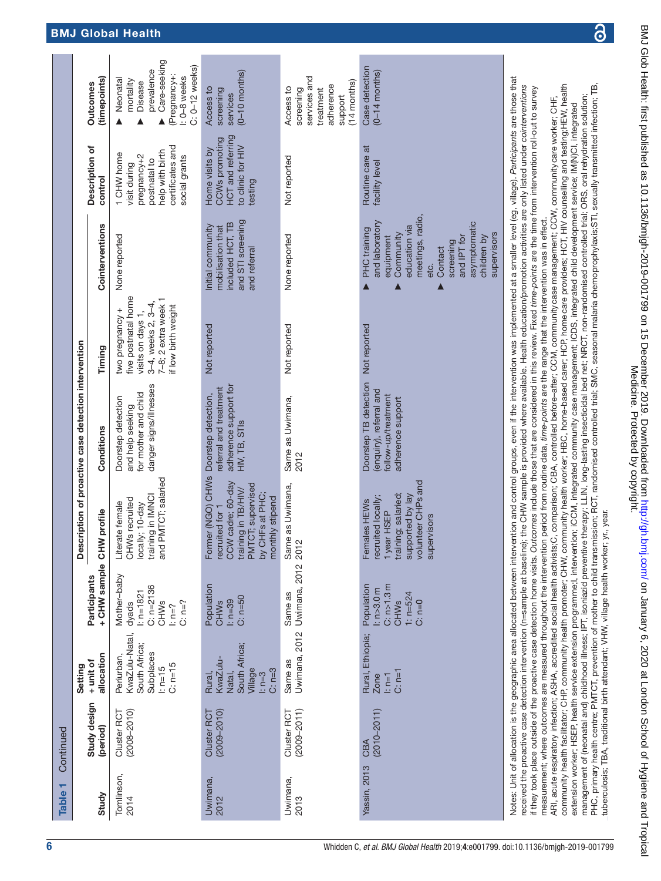| Table <sub>1</sub> | Continued                      |                                                                                                                                                                                                                         |                                                                                               |                                                                                                                                                               |                                                                                                                                                                                                                                                                                                                                                                                                                                                                                                                                                                                                                                                                                                                                                                                                                                                                                                                                                                            |                                                                                                                                 |                                                                                                                                                                                                   |                                                                                                                   |                                                                                                                      |
|--------------------|--------------------------------|-------------------------------------------------------------------------------------------------------------------------------------------------------------------------------------------------------------------------|-----------------------------------------------------------------------------------------------|---------------------------------------------------------------------------------------------------------------------------------------------------------------|----------------------------------------------------------------------------------------------------------------------------------------------------------------------------------------------------------------------------------------------------------------------------------------------------------------------------------------------------------------------------------------------------------------------------------------------------------------------------------------------------------------------------------------------------------------------------------------------------------------------------------------------------------------------------------------------------------------------------------------------------------------------------------------------------------------------------------------------------------------------------------------------------------------------------------------------------------------------------|---------------------------------------------------------------------------------------------------------------------------------|---------------------------------------------------------------------------------------------------------------------------------------------------------------------------------------------------|-------------------------------------------------------------------------------------------------------------------|----------------------------------------------------------------------------------------------------------------------|
|                    |                                | Setting                                                                                                                                                                                                                 |                                                                                               | ≏                                                                                                                                                             | escription of proactive case detection intervention                                                                                                                                                                                                                                                                                                                                                                                                                                                                                                                                                                                                                                                                                                                                                                                                                                                                                                                        |                                                                                                                                 |                                                                                                                                                                                                   |                                                                                                                   |                                                                                                                      |
| Study              | Study design<br>(period)       | allocation<br>+ unit of                                                                                                                                                                                                 | + CHW sample CHW profile<br>Participants                                                      |                                                                                                                                                               | Conditions                                                                                                                                                                                                                                                                                                                                                                                                                                                                                                                                                                                                                                                                                                                                                                                                                                                                                                                                                                 | Timing                                                                                                                          | Cointerventions                                                                                                                                                                                   | Description of<br>control                                                                                         | (timepoints)<br>Outcomes                                                                                             |
| Tomlinson,<br>2014 | $(2008 - 2010)$<br>Cluster RCT | KwaZulu-Natal,<br>South Africa;<br>Subplaces<br>Periurban,<br>$C: n=15$<br>$ln=15$                                                                                                                                      | Mother-baby<br>$C: n=2136$<br>$1: n = 1821$<br>$C: n=?$<br><b>CHWs</b><br>dyads<br>$n = ?$    | and PMTCT; salaried<br>training in IMNCI<br>CHWs recruited<br>locally; 10-day<br>Literate female                                                              | danger signs/illnesses<br>for mother and child<br>Doorstep detection<br>and help seeking                                                                                                                                                                                                                                                                                                                                                                                                                                                                                                                                                                                                                                                                                                                                                                                                                                                                                   | five postnatal home<br>7-8; 2 extra week 1<br>3-4, weeks 2, 3-4,<br>if low birth weight<br>two pregnancy +<br>visits on days 1, | None reported                                                                                                                                                                                     | certificates and<br>help with birth<br>1 CHW home<br>pregnancy+2<br>social grants<br>postnatal to<br>visit during | Care-seeking<br>C: 0-12 weeks)<br>prevalence<br>(Pregnancy+:<br>: 0-8 weeks<br>Neonatal<br>mortality<br>Disease<br>Δ |
| Uwimana,<br>2012   | Cluster RCT<br>$(2009 - 2010)$ | South Africa;<br>KwaZulu-<br>Village<br>$C: n=3$<br>Natal,<br>$l: n=3$<br>Rural,                                                                                                                                        | Population<br>$C: n=50$<br>$l: n=39$<br><b>CHWs</b>                                           | Former (NGO) CHWs Doorstep detection,<br>CCW cadre; 60-day<br>PMTCT; supervised<br>training in TB/HIV/<br>by CHFs at PHC;<br>monthly stipend<br>recruited for | adherence support for<br>referral and treatment<br>HIV, TB, STIS                                                                                                                                                                                                                                                                                                                                                                                                                                                                                                                                                                                                                                                                                                                                                                                                                                                                                                           | Not reported                                                                                                                    | and STI screening<br>included HCT, TB<br>Initial community<br>mobilisation that<br>and referral                                                                                                   | HCT and referring<br>CCWs promoting<br>to clinic for HIV<br>Home visits by<br>testing                             | $(0-10$ months)<br>Access to<br>screening<br>services                                                                |
| Uwimana,<br>2013   | Cluster RCT<br>$(2009 - 2011)$ | Uwimana, 2012<br>Same as                                                                                                                                                                                                | Uwimana, 2012<br>Same as                                                                      | Same as Uwimana,<br>2012                                                                                                                                      | Same as Uwimana,<br>2012                                                                                                                                                                                                                                                                                                                                                                                                                                                                                                                                                                                                                                                                                                                                                                                                                                                                                                                                                   | Not reported                                                                                                                    | None reported                                                                                                                                                                                     | Not reported                                                                                                      | services and<br>(14 months)<br>adherence<br>Access to<br>screening<br>treatment<br>support                           |
| Yassin, 2013       | $(2010 - 2011)$<br>CBA         | Rural, Ethiopia;<br>$C: n=1$<br>$l: n=1$<br><b>Zone</b>                                                                                                                                                                 | C: n > 1.3 m<br>Population<br>$\frac{1}{2}$ n>3.0m<br>$1: n = 524$<br><b>CHWs</b><br>$C: n=0$ | volunteer CHPs and<br>training; salaried;<br>supported by lay<br>recruited locally;<br>Females HEWs<br>1year HSEP<br>supervisors                              | Doorstep TB detection<br>(enquiry), referral and<br>follow-up/treatment<br>adherence support                                                                                                                                                                                                                                                                                                                                                                                                                                                                                                                                                                                                                                                                                                                                                                                                                                                                               | Not reported                                                                                                                    | meetings, radio,<br>and laboratory<br>asymptomatic<br>education via<br><b>PHC</b> training<br>Community<br>supervisors<br>children by<br>and IPT for<br>equipment<br>screening<br>Contact<br>etc. | Routine care at<br>facility level                                                                                 | Case detection<br>$(0-14$ months)                                                                                    |
|                    |                                | received the proactive case detection intervention (n=sample at baseli<br>if they took place outside of the proactive case detection home visits.<br>community health facilitator; CHP, community health promoter; CHW, |                                                                                               |                                                                                                                                                               | Notes: Unit of allocation is the geographic area allocated between intervention and control groups, even if the intervention was implemented at a smaller level (eg. village). Participants are those that<br>community health worker; HBC, home-based carer; HCP, home care providers; HCT, HIV counselling and testing;HEW, health<br>ne); the CHW sample is provided where available. Health education/promotion activities are only listed under cointerventions<br>Outcomes include those that are considered in this review. Fixed time-points are the time from intervention roll-out to survey<br>ARI, acute respiratory infection; ASHA, accredited social health activists;C, comparison; CBA, controlled before-after; CCM, community case management; CCW, community care worker; CHF,<br>measurement; where outcomes are measured throughout the intervention period from routine data, <i>time-points</i> are the range that the intervention was in effect. |                                                                                                                                 |                                                                                                                                                                                                   |                                                                                                                   |                                                                                                                      |

community health facilitator; CHP, community health promoter; CHW, community health worker; HBC, home-based carer; HCP, homecare providers; HCT, HIV counselling and testing;HEW, health extension worker; HSEP, health service extension programme;I, intervention; iCCM, integrated community case management; ICDS, integrated child development service; IM(N)CI, integrated management of (neonatal and) childhood illness; IPT, isoniazid preventive therapy; LLIN, long-lasting insecticidal bed net; NRCT, non-randomised controlled trial; ORS, oral rehydration solution;

extension worker; HSEP, health service extension programme;l, intervention; iCCM, integrated community case management; ICDS, integrated child development service; IM(N)CI, integrated

3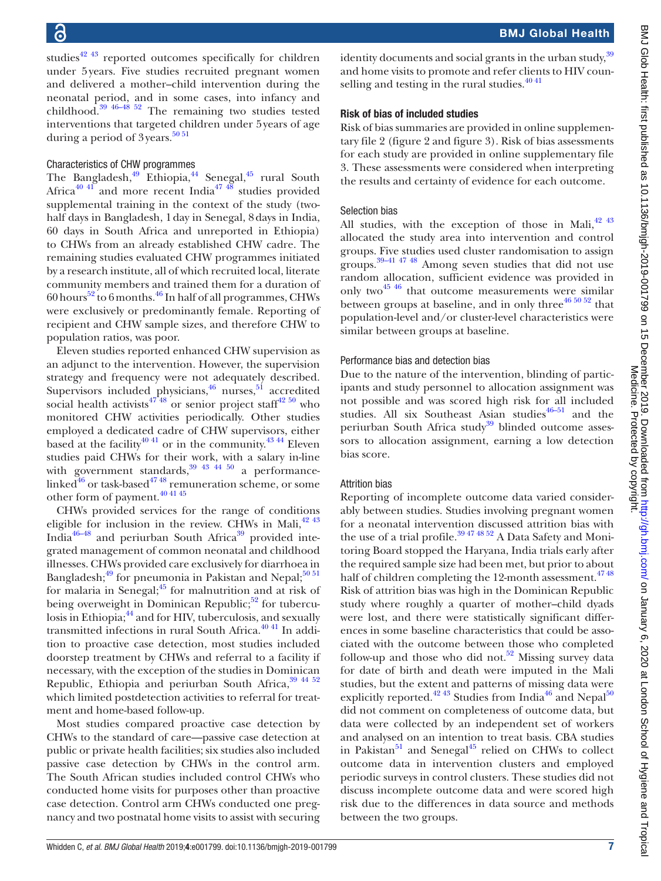studies<sup> $42\frac{43}{12}$ </sup> reported outcomes specifically for children under 5years. Five studies recruited pregnant women and delivered a mother–child intervention during the neonatal period, and in some cases, into infancy and childhood. $39\frac{46-48}{52}$  The remaining two studies tested interventions that targeted children under 5years of age during a period of 3years.<sup>5051</sup>

# Characteristics of CHW programmes

The Bangladesh, $49$  Ethiopia, $44$  Senegal, $45$  rural South Africa<sup>40 41</sup> and more recent India<sup>[47 48](#page-17-9)</sup> studies provided supplemental training in the context of the study (twohalf days in Bangladesh, 1day in Senegal, 8days in India, 60 days in South Africa and unreported in Ethiopia) to CHWs from an already established CHW cadre. The remaining studies evaluated CHW programmes initiated by a research institute, all of which recruited local, literate community members and trained them for a duration of  $60$  hours<sup>52</sup> to 6 months.<sup>46</sup> In half of all programmes, CHWs were exclusively or predominantly female. Reporting of recipient and CHW sample sizes, and therefore CHW to population ratios, was poor.

Eleven studies reported enhanced CHW supervision as an adjunct to the intervention. However, the supervision strategy and frequency were not adequately described. Supervisors included physicians,<sup>[46](#page-17-5)</sup> nurses,<sup>51</sup> accredited social health activists<sup>4748</sup> or senior project staff<sup>42 50</sup> who monitored CHW activities periodically. Other studies employed a dedicated cadre of CHW supervisors, either based at the facility<sup>40 41</sup> or in the community.<sup>43 44</sup> Eleven studies paid CHWs for their work, with a salary in-line with government standards,  $39\frac{43}{43}$   $44\frac{50}{49}$  a performancelinked $^{46}$  $^{46}$  $^{46}$  or task-based<sup>47</sup> <sup>48</sup> remuneration scheme, or some other form of payment[.40 41 45](#page-17-4)

CHWs provided services for the range of conditions eligible for inclusion in the review. CHWs in Mali, $^{42}$   $^{43}$ India<sup>[46–48](#page-17-5)</sup> and periurban South Africa<sup>39</sup> provided integrated management of common neonatal and childhood illnesses. CHWs provided care exclusively for diarrhoea in Bangladesh; $^{49}$  for pneumonia in Pakistan and Nepal; $^{5051}$ for malaria in Senegal; $^{45}$  for malnutrition and at risk of being overweight in Dominican Republic; $52$  for tuberculosis in Ethiopia;<sup>44</sup> and for HIV, tuberculosis, and sexually transmitted infections in rural South Africa.<sup>40 41</sup> In addition to proactive case detection, most studies included doorstep treatment by CHWs and referral to a facility if necessary, with the exception of the studies in Dominican Republic, Ethiopia and periurban South Africa, [39 44 52](#page-17-0) which limited postdetection activities to referral for treatment and home-based follow-up.

Most studies compared proactive case detection by CHWs to the standard of care—passive case detection at public or private health facilities; six studies also included passive case detection by CHWs in the control arm. The South African studies included control CHWs who conducted home visits for purposes other than proactive case detection. Control arm CHWs conducted one pregnancy and two postnatal home visits to assist with securing

identity documents and social grants in the urban study,  $39$ and home visits to promote and refer clients to HIV counselling and testing in the rural studies. $4041$ 

## Risk of bias of included studies

Risk of bias summaries are provided in [online supplemen](https://dx.doi.org/10.1136/bmjgh-2019-001799)[tary file 2](https://dx.doi.org/10.1136/bmjgh-2019-001799) (figure 2 and figure 3). Risk of bias assessments for each study are provided in [online supplementary file](https://dx.doi.org/10.1136/bmjgh-2019-001799) [3](https://dx.doi.org/10.1136/bmjgh-2019-001799). These assessments were considered when interpreting the results and certainty of evidence for each outcome.

## Selection bias

All studies, with the exception of those in Mali, $^{42}$   $^{43}$ allocated the study area into intervention and control groups. Five studies used cluster randomisation to assign groups. [39–41 47 48](#page-17-0) Among seven studies that did not use random allocation, sufficient evidence was provided in only two $^{45}$  46 that outcome measurements were similar between groups at baseline, and in only three  $46\frac{46\frac{50\frac{52}{52}}{2}}{1}$  that population-level and/or cluster-level characteristics were similar between groups at baseline.

# Performance bias and detection bias

Due to the nature of the intervention, blinding of participants and study personnel to allocation assignment was not possible and was scored high risk for all included studies. All six Southeast Asian studies $46-51$  and the periurban South Africa study<sup>39</sup> blinded outcome assessors to allocation assignment, earning a low detection bias score.

# Attrition bias

Reporting of incomplete outcome data varied considerably between studies. Studies involving pregnant women for a neonatal intervention discussed attrition bias with the use of a trial profile.<sup>39 47 48 52</sup> A Data Safety and Monitoring Board stopped the Haryana, India trials early after the required sample size had been met, but prior to about half of children completing the 12-month assessment.<sup>4748</sup> Risk of attrition bias was high in the Dominican Republic study where roughly a quarter of mother–child dyads were lost, and there were statistically significant differences in some baseline characteristics that could be associated with the outcome between those who completed follow-up and those who did not.<sup>52</sup> Missing survey data for date of birth and death were imputed in the Mali studies, but the extent and patterns of missing data were explicitly reported.<sup>42 43</sup> Studies from India<sup>46</sup> and Nepal<sup>50</sup> did not comment on completeness of outcome data, but data were collected by an independent set of workers and analysed on an intention to treat basis. CBA studies in Pakistan $51$  and Senegal<sup>[45](#page-17-3)</sup> relied on CHWs to collect outcome data in intervention clusters and employed periodic surveys in control clusters. These studies did not discuss incomplete outcome data and were scored high risk due to the differences in data source and methods between the two groups.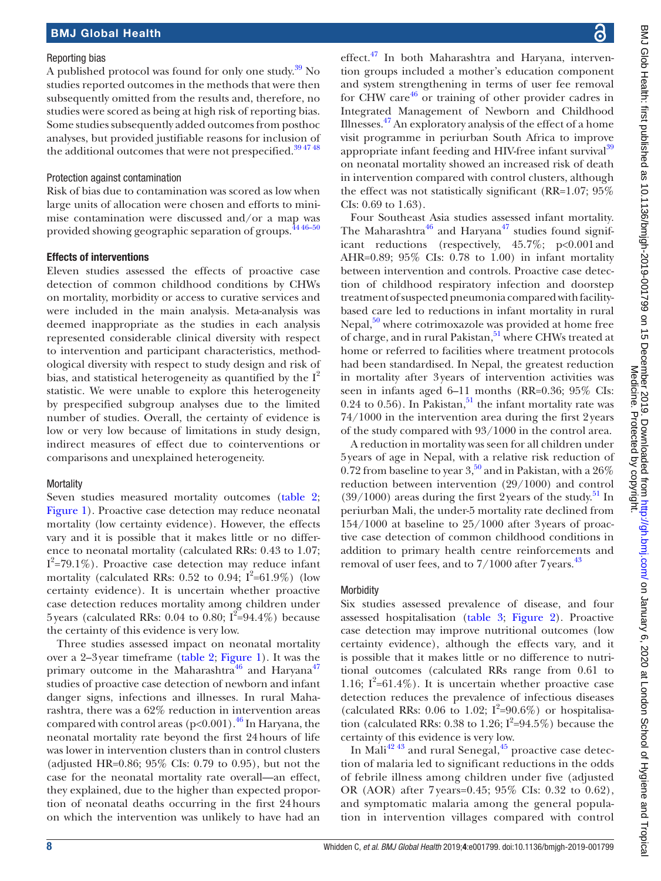#### Reporting bias

A published protocol was found for only one study.<sup>39</sup> No studies reported outcomes in the methods that were then subsequently omitted from the results and, therefore, no studies were scored as being at high risk of reporting bias. Some studies subsequently added outcomes from posthoc analyses, but provided justifiable reasons for inclusion of the additional outcomes that were not prespecified.<sup>394748</sup>

#### Protection against contamination

Risk of bias due to contamination was scored as low when large units of allocation were chosen and efforts to minimise contamination were discussed and/or a map was provided showing geographic separation of groups.<sup>44 46-50</sup>

## Effects of interventions

Eleven studies assessed the effects of proactive case detection of common childhood conditions by CHWs on mortality, morbidity or access to curative services and were included in the main analysis. Meta-analysis was deemed inappropriate as the studies in each analysis represented considerable clinical diversity with respect to intervention and participant characteristics, methodological diversity with respect to study design and risk of bias, and statistical heterogeneity as quantified by the  $I^2$ statistic. We were unable to explore this heterogeneity by prespecified subgroup analyses due to the limited number of studies. Overall, the certainty of evidence is low or very low because of limitations in study design, indirect measures of effect due to cointerventions or comparisons and unexplained heterogeneity.

# **Mortality**

Seven studies measured mortality outcomes ([table](#page-8-0) 2; [Figure](#page-9-0) 1). Proactive case detection may reduce neonatal mortality (low certainty evidence). However, the effects vary and it is possible that it makes little or no difference to neonatal mortality (calculated RRs: 0.43 to 1.07;  $I^2$ =79.1%). Proactive case detection may reduce infant mortality (calculated RRs: 0.52 to 0.94;  $I^2=61.9\%$ ) (low certainty evidence). It is uncertain whether proactive case detection reduces mortality among children under 5 years (calculated RRs: 0.04 to 0.80;  $I^2=94.4\%$ ) because the certainty of this evidence is very low.

Three studies assessed impact on neonatal mortality over a 2–3year timeframe [\(table](#page-8-0) 2; [Figure](#page-9-0) 1). It was the primary outcome in the Maharashtra $^{46}$  and Haryana<sup>[47](#page-17-9)</sup> studies of proactive case detection of newborn and infant danger signs, infections and illnesses. In rural Maharashtra, there was a 62% reduction in intervention areas compared with control areas ( $p<0.001$ ).<sup>46</sup> In Haryana, the neonatal mortality rate beyond the first 24hours of life was lower in intervention clusters than in control clusters (adjusted HR=0.86; 95% CIs: 0.79 to 0.95), but not the case for the neonatal mortality rate overall—an effect, they explained, due to the higher than expected proportion of neonatal deaths occurring in the first 24hours on which the intervention was unlikely to have had an

effect.<sup>47</sup> In both Maharashtra and Haryana, intervention groups included a mother's education component and system strengthening in terms of user fee removal for CHW care $^{46}$  or training of other provider cadres in Integrated Management of Newborn and Childhood Illnesses. $\frac{47}{7}$  An exploratory analysis of the effect of a home visit programme in periurban South Africa to improve appropriate infant feeding and HIV-free infant survival<sup>[39](#page-17-0)</sup> on neonatal mortality showed an increased risk of death in intervention compared with control clusters, although the effect was not statistically significant (RR=1.07; 95% CIs: 0.69 to 1.63).

Four Southeast Asia studies assessed infant mortality. The Maharashtra<sup>[46](#page-17-5)</sup> and Haryana<sup>47</sup> studies found significant reductions (respectively, 45.7%; p<0.001and AHR=0.89; 95% CIs: 0.78 to 1.00) in infant mortality between intervention and controls. Proactive case detection of childhood respiratory infection and doorstep treatment of suspected pneumonia compared with facilitybased care led to reductions in infant mortality in rural Nepal, $50$  where cotrimoxazole was provided at home free of charge, and in rural Pakistan,<sup>51</sup> where CHWs treated at home or referred to facilities where treatment protocols had been standardised. In Nepal, the greatest reduction in mortality after 3years of intervention activities was seen in infants aged 6–11 months (RR=0.36; 95% CIs: 0.24 to 0.56). In Pakistan,<sup>51</sup> the infant mortality rate was 74/1000 in the intervention area during the first 2years of the study compared with 93/1000 in the control area.

A reduction in mortality was seen for all children under 5years of age in Nepal, with a relative risk reduction of 0.72 from baseline to year  $3<sup>50</sup>$  $3<sup>50</sup>$  $3<sup>50</sup>$  and in Pakistan, with a  $26\%$ reduction between intervention (29/1000) and control  $(39/1000)$  areas during the first 2 years of the study.<sup>51</sup> In periurban Mali, the under-5 mortality rate declined from 154/1000 at baseline to 25/1000 after 3years of proactive case detection of common childhood conditions in addition to primary health centre reinforcements and removal of user fees, and to 7/1000 after 7 years.<sup>[43](#page-17-11)</sup>

# **Morbidity**

Six studies assessed prevalence of disease, and four assessed hospitalisation [\(table](#page-10-0) 3; [Figure](#page-11-0) 2). Proactive case detection may improve nutritional outcomes (low certainty evidence), although the effects vary, and it is possible that it makes little or no difference to nutritional outcomes (calculated RRs range from 0.61 to 1.16;  $I^2=61.4\%$ ). It is uncertain whether proactive case detection reduces the prevalence of infectious diseases (calculated RRs: 0.06 to 1.02;  $I^2=90.6\%$ ) or hospitalisation (calculated RRs: 0.38 to 1.26;  $I^2=94.5\%$ ) because the certainty of this evidence is very low.

In Mali<sup>42 43</sup> and rural Senegal, $45$  proactive case detection of malaria led to significant reductions in the odds of febrile illness among children under five (adjusted OR (AOR) after 7 years=0.45; 95% CIs: 0.32 to 0.62), and symptomatic malaria among the general population in intervention villages compared with control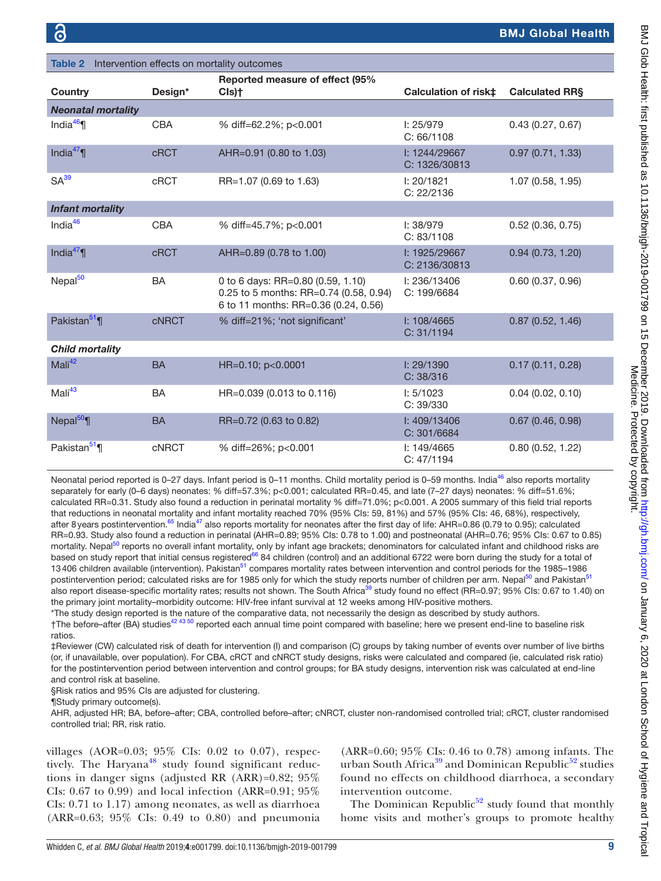<span id="page-8-0"></span>

| <b>Table 2</b> Intervention effects on mortality outcomes |              |                                                                                                                     |                                |                       |
|-----------------------------------------------------------|--------------|---------------------------------------------------------------------------------------------------------------------|--------------------------------|-----------------------|
| <b>Country</b>                                            | Design*      | Reported measure of effect (95%<br>Cls)†                                                                            | Calculation of risk‡           | <b>Calculated RRS</b> |
| <b>Neonatal mortality</b>                                 |              |                                                                                                                     |                                |                       |
| India $46$                                                | <b>CBA</b>   | % diff=62.2%; p<0.001                                                                                               | I: 25/979<br>C: 66/1108        | 0.43(0.27, 0.67)      |
| India $47$                                                | <b>cRCT</b>  | AHR=0.91 (0.80 to 1.03)                                                                                             | I: 1244/29667<br>C: 1326/30813 | 0.97(0.71, 1.33)      |
| SA <sup>39</sup>                                          | <b>cRCT</b>  | RR=1.07 (0.69 to 1.63)                                                                                              | I: 20/1821<br>C: 22/2136       | 1.07 (0.58, 1.95)     |
| <b>Infant mortality</b>                                   |              |                                                                                                                     |                                |                       |
| India <sup>46</sup>                                       | <b>CBA</b>   | % diff=45.7%; p<0.001                                                                                               | I: 38/979<br>C: 83/1108        | 0.52(0.36, 0.75)      |
| India $47$                                                | <b>cRCT</b>  | AHR=0.89 (0.78 to 1.00)                                                                                             | I: 1925/29667<br>C: 2136/30813 | 0.94(0.73, 1.20)      |
| Nepal <sup>50</sup>                                       | <b>BA</b>    | 0 to 6 days: RR=0.80 (0.59, 1.10)<br>0.25 to 5 months: RR=0.74 (0.58, 0.94)<br>6 to 11 months: RR=0.36 (0.24, 0.56) | I: 236/13406<br>C: 199/6684    | 0.60(0.37, 0.96)      |
| Pakistan <sup>51</sup> ¶                                  | <b>CNRCT</b> | % diff=21%; 'not significant'                                                                                       | 1:108/4665<br>C: 31/1194       | 0.87(0.52, 1.46)      |
| <b>Child mortality</b>                                    |              |                                                                                                                     |                                |                       |
| Mali <sup>42</sup>                                        | <b>BA</b>    | HR=0.10; p<0.0001                                                                                                   | I: 29/1390<br>C: 38/316        | 0.17(0.11, 0.28)      |
| Mali <sup>43</sup>                                        | <b>BA</b>    | HR=0.039 (0.013 to 0.116)                                                                                           | 1: 5/1023<br>C: 39/330         | $0.04$ (0.02, 0.10)   |
| Nepal $50$                                                | <b>BA</b>    | RR=0.72 (0.63 to 0.82)                                                                                              | I: 409/13406<br>C: 301/6684    | 0.67(0.46, 0.98)      |
| Pakistan <sup>51</sup> ¶                                  | <b>cNRCT</b> | % diff=26%; p<0.001                                                                                                 | 1: 149/4665<br>C: 47/1194      | 0.80(0.52, 1.22)      |

Neonatal period reported is 0–27 days. Infant period is 0–11 months. Child mortality period is 0–59 months. India<sup>46</sup> also reports mortality separately for early (0–6 days) neonates: % diff=57.3%; p<0.001; calculated RR=0.45, and late (7–27 days) neonates: % diff=51.6%; calculated RR=0.31. Study also found a reduction in perinatal mortality % diff=71.0%; p<0.001. A 2005 summary of this field trial reports that reductions in neonatal mortality and infant mortality reached 70% (95% CIs: 59, 81%) and 57% (95% CIs: 46, 68%), respectively, after 8 years postintervention.<sup>65</sup> India<sup>47</sup> also reports mortality for neonates after the first day of life: AHR=0.86 (0.79 to 0.95); calculated RR=0.93. Study also found a reduction in perinatal (AHR=0.89; 95% CIs: 0.78 to 1.00) and postneonatal (AHR=0.76; 95% CIs: 0.67 to 0.85) mortality. Nepal<sup>50</sup> reports no overall infant mortality, only by infant age brackets; denominators for calculated infant and childhood risks are based on study report that initial census registered<sup>66</sup> 84 children (control) and an additional 6722 were born during the study for a total of 13406 children available (intervention). Pakistan<sup>[51](#page-17-8)</sup> compares mortality rates between intervention and control periods for the 1985–1986 postintervention period; calculated risks are for 1985 only for which the study reports number of children per arm. Nepal<sup>50</sup> and Pakistan<sup>51</sup> also report disease-specific mortality rates; results not shown. The South Africa<sup>[39](#page-17-0)</sup> study found no effect (RR=0.97; 95% CIs: 0.67 to 1.40) on the primary joint mortality–morbidity outcome: HIV-free infant survival at 12 weeks among HIV-positive mothers.

\*The study design reported is the nature of the comparative data, not necessarily the design as described by study authors.

†The before–after (BA) studies<sup>42 43 50</sup> reported each annual time point compared with baseline; here we present end-line to baseline risk ratios.

‡Reviewer (CW) calculated risk of death for intervention (I) and comparison (C) groups by taking number of events over number of live births (or, if unavailable, over population). For CBA, cRCT and cNRCT study designs, risks were calculated and compared (ie, calculated risk ratio) for the postintervention period between intervention and control groups; for BA study designs, intervention risk was calculated at end-line and control risk at baseline.

§Risk ratios and 95% CIs are adjusted for clustering.

¶Study primary outcome(s).

AHR, adjusted HR; BA, before–after; CBA, controlled before–after; cNRCT, cluster non-randomised controlled trial; cRCT, cluster randomised controlled trial; RR, risk ratio.

villages (AOR=0.03; 95% CIs: 0.02 to 0.07), respec-tively. The Haryana<sup>[48](#page-17-14)</sup> study found significant reductions in danger signs (adjusted RR (ARR)=0.82; 95% CIs: 0.67 to 0.99) and local infection (ARR=0.91; 95% CIs: 0.71 to 1.17) among neonates, as well as diarrhoea (ARR=0.63; 95% CIs: 0.49 to 0.80) and pneumonia

(ARR=0.60; 95% CIs: 0.46 to 0.78) among infants. The urban South Africa<sup>[39](#page-17-0)</sup> and Dominican Republic<sup>52</sup> studies found no effects on childhood diarrhoea, a secondary intervention outcome.

The Dominican Republic<sup>52</sup> study found that monthly home visits and mother's groups to promote healthy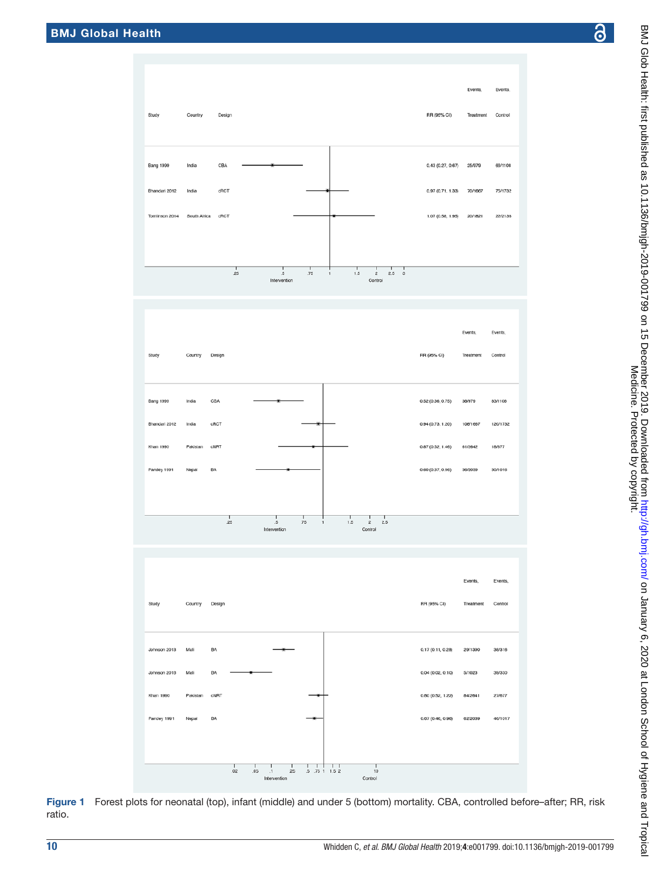

<span id="page-9-0"></span>Figure 1 Forest plots for neonatal (top), infant (middle) and under 5 (bottom) mortality. CBA, controlled before–after; RR, risk ratio.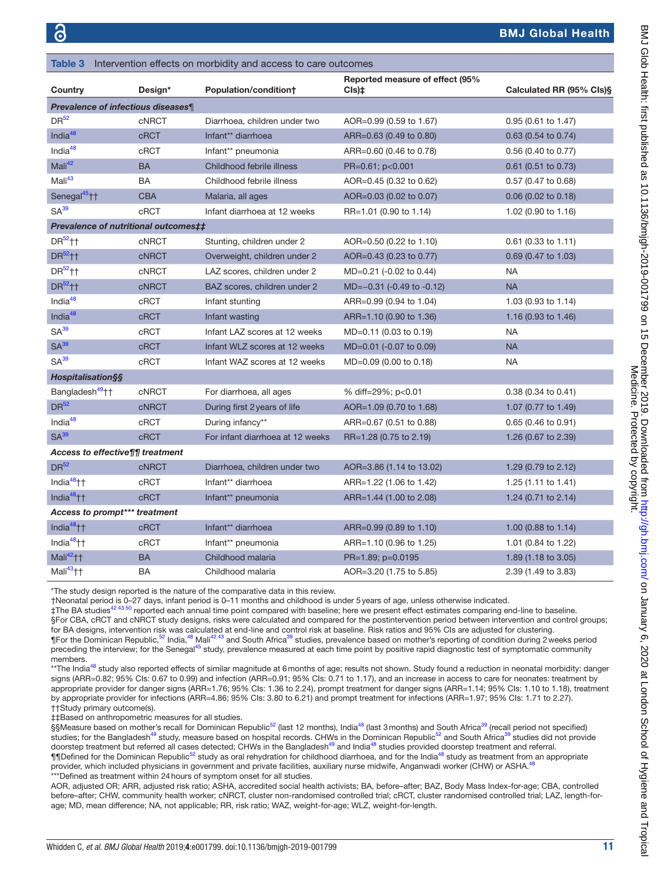<span id="page-10-0"></span>

| Table 3                                  |              | Intervention effects on morbidity and access to care outcomes |                                          |                               |
|------------------------------------------|--------------|---------------------------------------------------------------|------------------------------------------|-------------------------------|
| Country                                  | Design*      | Population/condition+                                         | Reported measure of effect (95%<br>Cls)‡ | Calculated RR (95% Cls)§      |
| <b>Prevalence of infectious diseases</b> |              |                                                               |                                          |                               |
| DR <sup>52</sup>                         | <b>cNRCT</b> | Diarrhoea, children under two                                 | AOR=0.99 (0.59 to 1.67)                  | 0.95 (0.61 to 1.47)           |
| India <sup>48</sup>                      | <b>cRCT</b>  | Infant** diarrhoea                                            | ARR=0.63 (0.49 to 0.80)                  | 0.63 (0.54 to 0.74)           |
| India $48$                               | cRCT         | Infant** pneumonia                                            | ARR=0.60 (0.46 to 0.78)                  | $0.56$ (0.40 to 0.77)         |
| Mali <sup>42</sup>                       | <b>BA</b>    | Childhood febrile illness                                     | PR=0.61; p<0.001                         | $0.61$ (0.51 to 0.73)         |
| Mali <sup>43</sup>                       | BA           | Childhood febrile illness                                     | AOR=0.45 (0.32 to 0.62)                  | 0.57 (0.47 to 0.68)           |
| Senegal <sup>45</sup> ++                 | <b>CBA</b>   | Malaria, all ages                                             | AOR=0.03 (0.02 to 0.07)                  | $0.06$ (0.02 to 0.18)         |
| SA <sup>39</sup>                         | cRCT         | Infant diarrhoea at 12 weeks                                  | RR=1.01 (0.90 to 1.14)                   | 1.02 (0.90 to 1.16)           |
| Prevalence of nutritional outcomes##     |              |                                                               |                                          |                               |
| $DR52$ <sup>+1</sup>                     | <b>CNRCT</b> | Stunting, children under 2                                    | AOR=0.50 (0.22 to 1.10)                  | $0.61$ (0.33 to 1.11)         |
| $DR52$ ††                                | <b>CNRCT</b> | Overweight, children under 2                                  | AOR=0.43 (0.23 to 0.77)                  | 0.69 (0.47 to 1.03)           |
| DR <sup>52</sup> <sup>++</sup>           | <b>cNRCT</b> | LAZ scores, children under 2                                  | MD=0.21 (-0.02 to 0.44)                  | NA                            |
| DR <sup>52</sup> ++                      | <b>cNRCT</b> | BAZ scores, children under 2                                  | MD=-0.31 (-0.49 to -0.12)                | <b>NA</b>                     |
| Indi $a^{48}$                            | cRCT         | Infant stunting                                               | ARR=0.99 (0.94 to 1.04)                  | 1.03 (0.93 to 1.14)           |
| India <sup>48</sup>                      | <b>cRCT</b>  | Infant wasting                                                | ARR=1.10 (0.90 to 1.36)                  | 1.16 (0.93 to 1.46)           |
| SA <sup>39</sup>                         | cRCT         | Infant LAZ scores at 12 weeks                                 | MD=0.11 (0.03 to 0.19)                   | <b>NA</b>                     |
| SA <sup>39</sup>                         | <b>cRCT</b>  | Infant WLZ scores at 12 weeks                                 | MD=0.01 (-0.07 to 0.09)                  | <b>NA</b>                     |
| SA <sup>39</sup>                         | cRCT         | Infant WAZ scores at 12 weeks                                 | MD=0.09 (0.00 to 0.18)                   | <b>NA</b>                     |
| <b>Hospitalisation§§</b>                 |              |                                                               |                                          |                               |
| Bangladesh <sup>49</sup> ††              | <b>cNRCT</b> | For diarrhoea, all ages                                       | % diff=29%; p<0.01                       | 0.38 (0.34 to 0.41)           |
| DR <sup>52</sup>                         | <b>cNRCT</b> | During first 2 years of life                                  | AOR=1.09 (0.70 to 1.68)                  | 1.07 (0.77 to 1.49)           |
| India <sup>48</sup>                      | cRCT         | During infancy**                                              | ARR=0.67 (0.51 to 0.88)                  | $0.65(0.46 \text{ to } 0.91)$ |
| SA <sup>39</sup>                         | <b>cRCT</b>  | For infant diarrhoea at 12 weeks                              | RR=1.28 (0.75 to 2.19)                   | 1.26 (0.67 to 2.39)           |
| Access to effective¶¶ treatment          |              |                                                               |                                          |                               |
| DR <sup>52</sup>                         | <b>cNRCT</b> | Diarrhoea, children under two                                 | AOR=3.86 (1.14 to 13.02)                 | 1.29 (0.79 to 2.12)           |
| India <sup>48</sup> ++                   | cRCT         | Infant** diarrhoea                                            | ARR=1.22 (1.06 to 1.42)                  | 1.25 (1.11 to 1.41)           |
| India $48$ <sup>++</sup>                 | <b>cRCT</b>  | Infant** pneumonia                                            | ARR=1.44 (1.00 to 2.08)                  | 1.24 (0.71 to 2.14)           |
| Access to prompt*** treatment            |              |                                                               |                                          |                               |
| India $48$ <sup>+</sup> $+$              | <b>cRCT</b>  | Infant** diarrhoea                                            | ARR=0.99 (0.89 to 1.10)                  | 1.00 (0.88 to 1.14)           |
| India $48$ <sup>+</sup> $+$              | cRCT         | Infant** pneumonia                                            | ARR=1.10 (0.96 to 1.25)                  | 1.01 (0.84 to 1.22)           |
| Mali <sup>42</sup> ††                    | <b>BA</b>    | Childhood malaria                                             | PR=1.89; p=0.0195                        | 1.89 (1.18 to 3.05)           |
| Mali <sup>43</sup> ++                    | BA           | Childhood malaria                                             | AOR=3.20 (1.75 to 5.85)                  | 2.39 (1.49 to 3.83)           |

\*The study design reported is the nature of the comparative data in this review.

†Neonatal period is 0–27 days, infant period is 0–11 months and childhood is under 5years of age, unless otherwise indicated.

‡The BA studies<sup>42 43 50</sup> reported each annual time point compared with baseline; here we present effect estimates comparing end-line to baseline. §For CBA, cRCT and cNRCT study designs, risks were calculated and compared for the postintervention period between intervention and control groups; for BA designs, intervention risk was calculated at end-line and control risk at baseline. Risk ratios and 95% Cls are adjusted for clustering.<br>¶For the Dominican Republic,<sup>52</sup> India,<sup>[48](#page-17-14)</sup> Mali<sup>42 43</sup> and South Africa<sup>39</sup> s preceding the interview; for the Senegal<sup>[45](#page-17-3)</sup> study, prevalence measured at each time point by positive rapid diagnostic test of symptomatic community members.

\*\*The India<sup>48</sup> study also reported effects of similar magnitude at 6 months of age; results not shown. Study found a reduction in neonatal morbidity: danger signs (ARR=0.82; 95% CIs: 0.67 to 0.99) and infection (ARR=0.91; 95% CIs: 0.71 to 1.17), and an increase in access to care for neonates: treatment by appropriate provider for danger signs (ARR=1.76; 95% CIs: 1.36 to 2.24), prompt treatment for danger signs (ARR=1.14; 95% CIs: 1.10 to 1.18), treatment by appropriate provider for infections (ARR=4.86; 95% CIs: 3.80 to 6.21) and prompt treatment for infections (ARR=1.97; 95% CIs: 1.71 to 2.27). ††Study primary outcome(s).

‡‡Based on anthropometric measures for all studies.

§§Measure based on mother's recall for Dominican Republic<sup>52</sup> (last 12 months), India<sup>[48](#page-17-14)</sup> (last 3 months) and South Africa<sup>[39](#page-17-0)</sup> (recall period not specified) studies; for the Bangladesh<sup>[49](#page-17-6)</sup> study, measure based on hospital records. CHWs in the Dominican Republic<sup>[52](#page-17-10)</sup> and South Africa<sup>[39](#page-17-0)</sup> studies did not provide doorstep treatment but referred all cases detected; CHWs in the Bangladesh<sup>49</sup> and India<sup>[48](#page-17-14)</sup> studies provided doorstep treatment and referral. ¶¶Defined for the Dominican Republic<sup>[52](#page-17-10)</sup> study as oral rehydration for childhood diarrhoea, and for the India<sup>[48](#page-17-14)</sup> study as treatment from an appropriate provider, which included physicians in government and private facilities, auxiliary nurse midwife, Anganwadi worker (CHW) or ASHA.<sup>4</sup> \*\*\*Defined as treatment within 24hours of symptom onset for all studies.

AOR, adjusted OR; ARR, adjusted risk ratio; ASHA, accredited social health activists; BA, before–after; BAZ, Body Mass Index-for-age; CBA, controlled before–after; CHW, community health worker; cNRCT, cluster non-randomised controlled trial; cRCT, cluster randomised controlled trial; LAZ, length-forage; MD, mean difference; NA, not applicable; RR, risk ratio; WAZ, weight-for-age; WLZ, weight-for-length.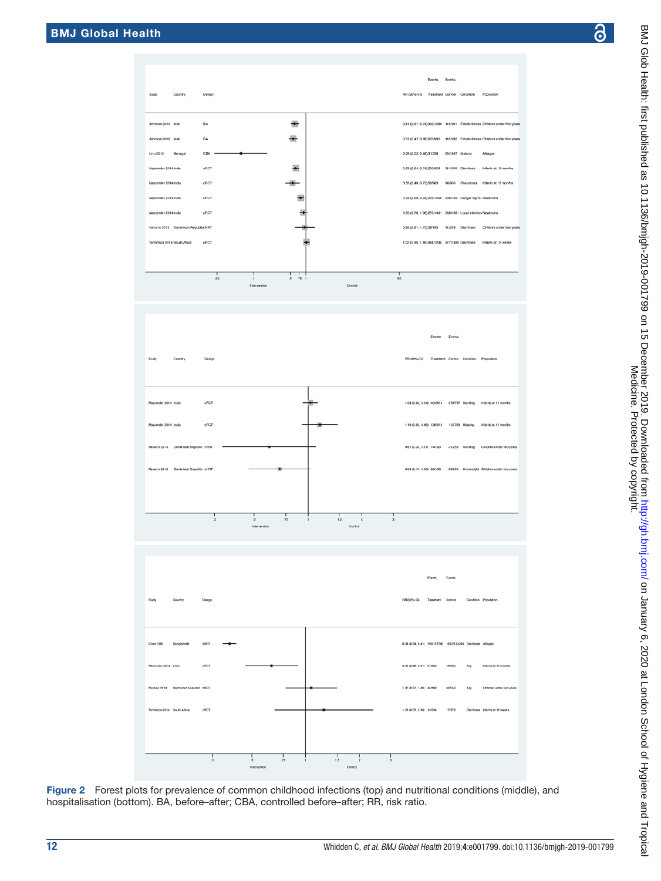BA

 $\overline{B}$ 

allo

dRC

dRCT

dict

 $\frac{1}{2}$ 

cRC

 $\frac{1}{2}$ 

<span id="page-11-0"></span> $\frac{1}{3}$ 

 $\frac{1}{2}$ 

 $\frac{1}{5}$ 

 $\frac{1}{75}$ 

**Locks** 

 $\frac{1}{4}$ 

æ

÷

÷



Figure 2 Forest plots for prevalence of common childhood infections (top) and nutritional conditions (middle), and hospitalisation (bottom). BA, before–after; CBA, controlled before–after; RR, risk ratio.

 $\frac{1}{75}$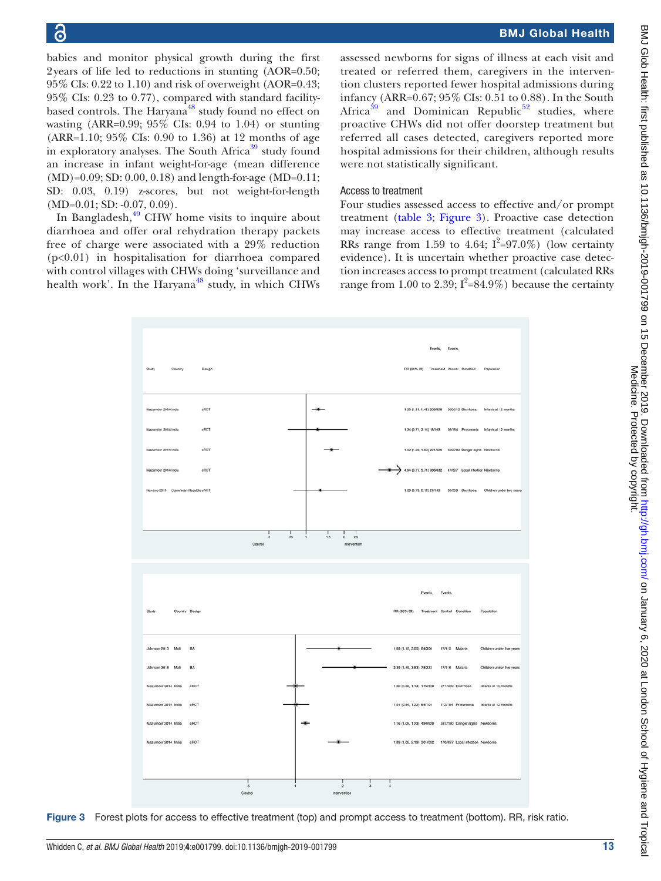babies and monitor physical growth during the first 2years of life led to reductions in stunting (AOR=0.50; 95% CIs: 0.22 to 1.10) and risk of overweight (AOR=0.43; 95% CIs: 0.23 to 0.77), compared with standard facilitybased controls. The Haryana<sup>48</sup> study found no effect on wasting (ARR=0.99; 95% CIs: 0.94 to 1.04) or stunting (ARR=1.10; 95% CIs: 0.90 to 1.36) at 12 months of age in exploratory analyses. The South Africa<sup>39</sup> study found an increase in infant weight-for-age (mean difference (MD)=0.09; SD: 0.00, 0.18) and length-for-age (MD=0.11; SD: 0.03, 0.19) z-scores, but not weight-for-length (MD=0.01; SD: -0.07, 0.09).

In Bangladesh, $49$  CHW home visits to inquire about diarrhoea and offer oral rehydration therapy packets free of charge were associated with a 29% reduction (p<0.01) in hospitalisation for diarrhoea compared with control villages with CHWs doing 'surveillance and health work'. In the Haryana<sup>48</sup> study, in which CHWs

assessed newborns for signs of illness at each visit and treated or referred them, caregivers in the intervention clusters reported fewer hospital admissions during infancy (ARR=0.67; 95% CIs: 0.51 to 0.88). In the South Africa<sup>39</sup> and Dominican Republic<sup>52</sup> studies, where proactive CHWs did not offer doorstep treatment but referred all cases detected, caregivers reported more hospital admissions for their children, although results were not statistically significant.

## Access to treatment

Four studies assessed access to effective and/or prompt treatment ([table](#page-10-0) 3; [Figure](#page-12-0) 3). Proactive case detection may increase access to effective treatment (calculated RRs range from 1.59 to 4.64;  $I^2=97.0\%$ ) (low certainty evidence). It is uncertain whether proactive case detection increases access to prompt treatment (calculated RRs range from 1.00 to 2.39;  $I^2 = 84.9\%$ ) because the certainty



<span id="page-12-0"></span>Figure 3 Forest plots for access to effective treatment (top) and prompt access to treatment (bottom). RR, risk ratio.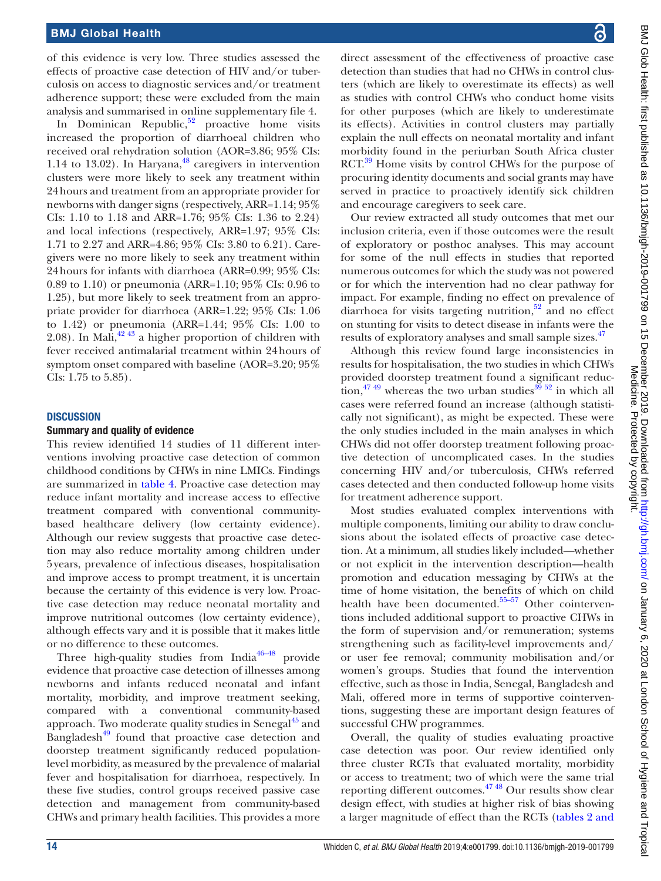of this evidence is very low. Three studies assessed the effects of proactive case detection of HIV and/or tuberculosis on access to diagnostic services and/or treatment adherence support; these were excluded from the main analysis and summarised in [online supplementary file 4.](https://dx.doi.org/10.1136/bmjgh-2019-001799)

In Dominican Republic, $52$  proactive home visits increased the proportion of diarrhoeal children who received oral rehydration solution (AOR=3.86; 95% CIs: 1.14 to 13.02). In Haryana, $48$  caregivers in intervention clusters were more likely to seek any treatment within 24hours and treatment from an appropriate provider for newborns with danger signs (respectively, ARR=1.14; 95% CIs: 1.10 to 1.18 and ARR=1.76; 95% CIs: 1.36 to 2.24) and local infections (respectively, ARR=1.97; 95% CIs: 1.71 to 2.27 and ARR=4.86; 95% CIs: 3.80 to 6.21). Caregivers were no more likely to seek any treatment within 24hours for infants with diarrhoea (ARR=0.99; 95% CIs: 0.89 to 1.10) or pneumonia (ARR=1.10; 95% CIs: 0.96 to 1.25), but more likely to seek treatment from an appropriate provider for diarrhoea (ARR=1.22; 95% CIs: 1.06 to 1.42) or pneumonia (ARR=1.44; 95% CIs: 1.00 to 2.08). In Mali, $42\frac{43}{3}$  a higher proportion of children with fever received antimalarial treatment within 24hours of symptom onset compared with baseline (AOR=3.20; 95% CIs: 1.75 to 5.85).

#### **DISCUSSION**

#### Summary and quality of evidence

This review identified 14 studies of 11 different interventions involving proactive case detection of common childhood conditions by CHWs in nine LMICs. Findings are summarized in [table](#page-14-0) 4. Proactive case detection may reduce infant mortality and increase access to effective treatment compared with conventional communitybased healthcare delivery (low certainty evidence). Although our review suggests that proactive case detection may also reduce mortality among children under 5years, prevalence of infectious diseases, hospitalisation and improve access to prompt treatment, it is uncertain because the certainty of this evidence is very low. Proactive case detection may reduce neonatal mortality and improve nutritional outcomes (low certainty evidence), although effects vary and it is possible that it makes little or no difference to these outcomes.

Three high-quality studies from  $India<sup>46-48</sup>$  provide evidence that proactive case detection of illnesses among newborns and infants reduced neonatal and infant mortality, morbidity, and improve treatment seeking, compared with a conventional community-based approach. Two moderate quality studies in Senegal $^{45}$  $^{45}$  $^{45}$  and Bangladesh<sup> $49$ </sup> found that proactive case detection and doorstep treatment significantly reduced populationlevel morbidity, as measured by the prevalence of malarial fever and hospitalisation for diarrhoea, respectively. In these five studies, control groups received passive case detection and management from community-based CHWs and primary health facilities. This provides a more

BMJ Glob Health: first published as 10.1136/bmigh-2019-001799 on 15 December 2019. Downloaded from htp://gh.bmj.com/ on January 6, 2020 at London School of Hygiene and Tropica<br>Medicine 1999 BMJ Glob Health: first published as 10.1136/bmjgh-2019-001799 on 15 December 2019. Downloaded from <http://gh.bmj.com/> on January 6, 2020 at London School of Hygiene and Tropical Medicine. Protected by copyright.

direct assessment of the effectiveness of proactive case detection than studies that had no CHWs in control clusters (which are likely to overestimate its effects) as well as studies with control CHWs who conduct home visits for other purposes (which are likely to underestimate its effects). Activities in control clusters may partially explain the null effects on neonatal mortality and infant morbidity found in the periurban South Africa cluster RCT.<sup>39</sup> Home visits by control CHWs for the purpose of procuring identity documents and social grants may have served in practice to proactively identify sick children and encourage caregivers to seek care.

Our review extracted all study outcomes that met our inclusion criteria, even if those outcomes were the result of exploratory or posthoc analyses. This may account for some of the null effects in studies that reported numerous outcomes for which the study was not powered or for which the intervention had no clear pathway for impact. For example, finding no effect on prevalence of diarrhoea for visits targeting nutrition, $52$  and no effect on stunting for visits to detect disease in infants were the results of exploratory analyses and small sample sizes.<sup>[47](#page-17-9)</sup>

Although this review found large inconsistencies in results for hospitalisation, the two studies in which CHWs provided doorstep treatment found a significant reduction,<sup>47</sup> 49 whereas the two urban studies<sup>39</sup> 52 in which all cases were referred found an increase (although statistically not significant), as might be expected. These were the only studies included in the main analyses in which CHWs did not offer doorstep treatment following proactive detection of uncomplicated cases. In the studies concerning HIV and/or tuberculosis, CHWs referred cases detected and then conducted follow-up home visits for treatment adherence support.

Most studies evaluated complex interventions with multiple components, limiting our ability to draw conclusions about the isolated effects of proactive case detection. At a minimum, all studies likely included—whether or not explicit in the intervention description—health promotion and education messaging by CHWs at the time of home visitation, the benefits of which on child health have been documented.<sup>55-57</sup> Other cointerventions included additional support to proactive CHWs in the form of supervision and/or remuneration; systems strengthening such as facility-level improvements and/ or user fee removal; community mobilisation and/or women's groups. Studies that found the intervention effective, such as those in India, Senegal, Bangladesh and Mali, offered more in terms of supportive cointerventions, suggesting these are important design features of successful CHW programmes.

Overall, the quality of studies evaluating proactive case detection was poor. Our review identified only three cluster RCTs that evaluated mortality, morbidity or access to treatment; two of which were the same trial reporting different outcomes. $47\frac{48}{10}$  Our results show clear design effect, with studies at higher risk of bias showing a larger magnitude of effect than the RCTs [\(tables](#page-8-0) 2 and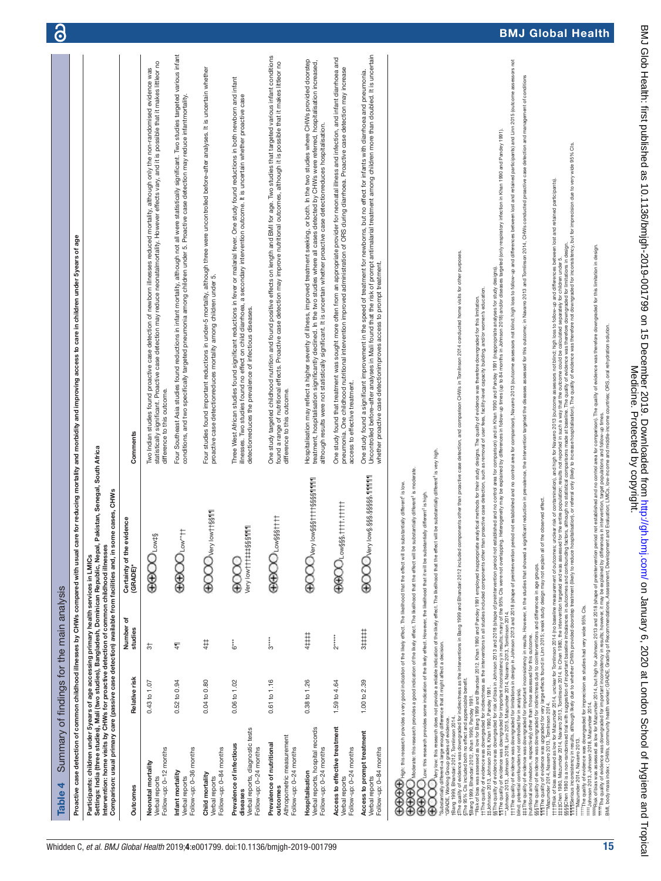<span id="page-14-0"></span>

| Summary of findings for the main analysis<br>Table 4                                                                                                                                                                                                                                                                                                                                                                                                                                                                                                                                                                                                                                                                                                                                                                                                                                                                                             |               |                      |                                                                                                                                                                                                                                                                                                                                                                                                                                                                                                                                                                                                                                                                                                                                                                                    |                                                                                                                                                                                                                                                                                                                                                                                                                                                                                                                                                                                                                                                                                                                                                                                                                                                                                                                                                                                                                                                                                                                                                                                                                                                                                                                                                                                                                                                                                                                                                                                                                                                                                                                                                                                                                                                                                      | $\mathbf{\Theta}$      |
|--------------------------------------------------------------------------------------------------------------------------------------------------------------------------------------------------------------------------------------------------------------------------------------------------------------------------------------------------------------------------------------------------------------------------------------------------------------------------------------------------------------------------------------------------------------------------------------------------------------------------------------------------------------------------------------------------------------------------------------------------------------------------------------------------------------------------------------------------------------------------------------------------------------------------------------------------|---------------|----------------------|------------------------------------------------------------------------------------------------------------------------------------------------------------------------------------------------------------------------------------------------------------------------------------------------------------------------------------------------------------------------------------------------------------------------------------------------------------------------------------------------------------------------------------------------------------------------------------------------------------------------------------------------------------------------------------------------------------------------------------------------------------------------------------|--------------------------------------------------------------------------------------------------------------------------------------------------------------------------------------------------------------------------------------------------------------------------------------------------------------------------------------------------------------------------------------------------------------------------------------------------------------------------------------------------------------------------------------------------------------------------------------------------------------------------------------------------------------------------------------------------------------------------------------------------------------------------------------------------------------------------------------------------------------------------------------------------------------------------------------------------------------------------------------------------------------------------------------------------------------------------------------------------------------------------------------------------------------------------------------------------------------------------------------------------------------------------------------------------------------------------------------------------------------------------------------------------------------------------------------------------------------------------------------------------------------------------------------------------------------------------------------------------------------------------------------------------------------------------------------------------------------------------------------------------------------------------------------------------------------------------------------------------------------------------------------|------------------------|
| Proactive case detection of common childhood illnesses by CHWs compared with usual care                                                                                                                                                                                                                                                                                                                                                                                                                                                                                                                                                                                                                                                                                                                                                                                                                                                          |               |                      |                                                                                                                                                                                                                                                                                                                                                                                                                                                                                                                                                                                                                                                                                                                                                                                    | age<br>or reducing mortality and morbidity and improving access to care in children under 5 years of                                                                                                                                                                                                                                                                                                                                                                                                                                                                                                                                                                                                                                                                                                                                                                                                                                                                                                                                                                                                                                                                                                                                                                                                                                                                                                                                                                                                                                                                                                                                                                                                                                                                                                                                                                                 |                        |
| Comparison: usual primary care (passive case detection) available from facilities and, in some<br>Intervention: home visits by CHWs for proactive detection of common childhood illnesses<br>Participants: children under 5 years of age accessing primary health services in LMICs                                                                                                                                                                                                                                                                                                                                                                                                                                                                                                                                                                                                                                                              |               |                      | Settings: India (three studies), Mali (two studies), Bangladesh, Dominican Republic, Nepal, Pakistan, Senegal, South Africa<br>cases, CHWs                                                                                                                                                                                                                                                                                                                                                                                                                                                                                                                                                                                                                                         |                                                                                                                                                                                                                                                                                                                                                                                                                                                                                                                                                                                                                                                                                                                                                                                                                                                                                                                                                                                                                                                                                                                                                                                                                                                                                                                                                                                                                                                                                                                                                                                                                                                                                                                                                                                                                                                                                      |                        |
| Outcomes                                                                                                                                                                                                                                                                                                                                                                                                                                                                                                                                                                                                                                                                                                                                                                                                                                                                                                                                         | Relative risk | Number of<br>studies | Certainty of the evidence<br>(GRADE)*                                                                                                                                                                                                                                                                                                                                                                                                                                                                                                                                                                                                                                                                                                                                              | Comments                                                                                                                                                                                                                                                                                                                                                                                                                                                                                                                                                                                                                                                                                                                                                                                                                                                                                                                                                                                                                                                                                                                                                                                                                                                                                                                                                                                                                                                                                                                                                                                                                                                                                                                                                                                                                                                                             |                        |
| Follow-up: 0-12 months<br>Neonatal mortality<br>Verbal reports                                                                                                                                                                                                                                                                                                                                                                                                                                                                                                                                                                                                                                                                                                                                                                                                                                                                                   | 0.43 to 1.07  | 4                    | <b>GOOOO</b> ow#\$                                                                                                                                                                                                                                                                                                                                                                                                                                                                                                                                                                                                                                                                                                                                                                 | statistically significant. Proactive case detection may reduce neonatalmortality. However effects vary, and it is possible that it makes littleor no<br>Two Indian studies found proactive case detection of newborn illnesses reduced mortality, although only the non-randomised evidence was<br>difference to this outcome.                                                                                                                                                                                                                                                                                                                                                                                                                                                                                                                                                                                                                                                                                                                                                                                                                                                                                                                                                                                                                                                                                                                                                                                                                                                                                                                                                                                                                                                                                                                                                       |                        |
| Follow-up: 0-36 months<br>Infant mortality<br>Verbal reports                                                                                                                                                                                                                                                                                                                                                                                                                                                                                                                                                                                                                                                                                                                                                                                                                                                                                     | 0.52 to 0.94  | 4                    | <b>GGECOLOW*11</b>                                                                                                                                                                                                                                                                                                                                                                                                                                                                                                                                                                                                                                                                                                                                                                 | Four Southeast Asia studies found reductions in infant mortality, although not all were statistically significant. Two studies targeted various infant<br>conditions, and two specifically targeted pneumonia among children under 5. Proactive case detection may reduce infantmortality.                                                                                                                                                                                                                                                                                                                                                                                                                                                                                                                                                                                                                                                                                                                                                                                                                                                                                                                                                                                                                                                                                                                                                                                                                                                                                                                                                                                                                                                                                                                                                                                           |                        |
| Follow-up: 0-84 months<br>Child mortality<br>Verbal reports                                                                                                                                                                                                                                                                                                                                                                                                                                                                                                                                                                                                                                                                                                                                                                                                                                                                                      | 0.04 to 0.80  | 4‡‡                  | <b>ECCOONery low#t§§111</b>                                                                                                                                                                                                                                                                                                                                                                                                                                                                                                                                                                                                                                                                                                                                                        | Four studies found important reductions in under-5 mortality, although three were uncontrolled before-after analyses. It is uncertain whether<br>proactive case detectionreduces mortality among children under 5.                                                                                                                                                                                                                                                                                                                                                                                                                                                                                                                                                                                                                                                                                                                                                                                                                                                                                                                                                                                                                                                                                                                                                                                                                                                                                                                                                                                                                                                                                                                                                                                                                                                                   |                        |
| Verbal reports, diagnostic tests<br>Prevalence of infectious<br>Follow-up: 0-24 months<br>diseases                                                                                                                                                                                                                                                                                                                                                                                                                                                                                                                                                                                                                                                                                                                                                                                                                                               | 0.06 to 1.02  | $6***$               | Very low t t t ## \$\$\$ 111<br>8<br>8                                                                                                                                                                                                                                                                                                                                                                                                                                                                                                                                                                                                                                                                                                                                             | Three West African studies found significant reductions in fever or malarial fever. One study found reductions in both newborn and infant<br>illnesses. Two studies found no effect on child diarrhoea, a secondary intervention outcome. It is uncertain whether proactive case<br>detectionreduces the prevalence of infectious diseases.                                                                                                                                                                                                                                                                                                                                                                                                                                                                                                                                                                                                                                                                                                                                                                                                                                                                                                                                                                                                                                                                                                                                                                                                                                                                                                                                                                                                                                                                                                                                          |                        |
| Athropometric measurement<br>Prevalence of nutritional<br>Follow-up: 0-24 months<br>outcomes                                                                                                                                                                                                                                                                                                                                                                                                                                                                                                                                                                                                                                                                                                                                                                                                                                                     | 0.61 to 1.16  | $3***$               | <b>GBOOLowSSSTTT</b>                                                                                                                                                                                                                                                                                                                                                                                                                                                                                                                                                                                                                                                                                                                                                               | One study targeted childhood nutrition and found positive effects on length and BMI for age. Two studies that targeted various infant conditions<br>found a range of nutritional effects. Proactive case detection may improve nutritional outcomes, although it is possible that it makes littleor no<br>difference to this outcome.                                                                                                                                                                                                                                                                                                                                                                                                                                                                                                                                                                                                                                                                                                                                                                                                                                                                                                                                                                                                                                                                                                                                                                                                                                                                                                                                                                                                                                                                                                                                                |                        |
| Verbal reports, hospital records<br>Follow-up: 0-24 months<br>Hospitalisation                                                                                                                                                                                                                                                                                                                                                                                                                                                                                                                                                                                                                                                                                                                                                                                                                                                                    | 0.38 to 1.26  | 4####                | <b>ECOOD</b> very low §§§11111 \$§§\$11111                                                                                                                                                                                                                                                                                                                                                                                                                                                                                                                                                                                                                                                                                                                                         | Hospitalisation may reflect a higher severity of illness, improved treatment seeking, or both. In the two studies where CHWs provided doorstep<br>treatment, hospitalisation significantly declined. In the two studies where all                                                                                                                                                                                                                                                                                                                                                                                                                                                                                                                                                                                                                                                                                                                                                                                                                                                                                                                                                                                                                                                                                                                                                                                                                                                                                                                                                                                                                                                                                                                                                                                                                                                    |                        |
| Access to effective treatment<br>Follow-up: 0-24 months<br>Verbal reports                                                                                                                                                                                                                                                                                                                                                                                                                                                                                                                                                                                                                                                                                                                                                                                                                                                                        | 1.59 to 4.64  | $2***$               | <b>OBOO</b> Low\$\$\$.tttt.ttttt                                                                                                                                                                                                                                                                                                                                                                                                                                                                                                                                                                                                                                                                                                                                                   | One study found that treatment was sought more often from an appropriate provider for neonatal illness and infection, and infant diarrhoea and<br>pneumonia. One childhood nutritional intervention improved administration of ORS during diarrhoea. Proactive case detection may increase<br>access to effective treatment.                                                                                                                                                                                                                                                                                                                                                                                                                                                                                                                                                                                                                                                                                                                                                                                                                                                                                                                                                                                                                                                                                                                                                                                                                                                                                                                                                                                                                                                                                                                                                         |                        |
| Access to prompt treatment<br>Follow-up: 0-84 months<br>Verbal reports                                                                                                                                                                                                                                                                                                                                                                                                                                                                                                                                                                                                                                                                                                                                                                                                                                                                           | 1.00 to 2.39  | 3‡‡‡‡                | <b>ECOOO</b> Very lows.sss.sssss.11111111                                                                                                                                                                                                                                                                                                                                                                                                                                                                                                                                                                                                                                                                                                                                          | Uncontrolled before-after analyses in Mali found that the risk of prompt antimalarial treatment among children more than doubled. It is uncertain<br>One study found a significant improvement in the speed of treatment for newborns, but no effect for infants with diarrhoea and pneumonia.<br>whether proactive case detectionimproves access to prompt treatment.                                                                                                                                                                                                                                                                                                                                                                                                                                                                                                                                                                                                                                                                                                                                                                                                                                                                                                                                                                                                                                                                                                                                                                                                                                                                                                                                                                                                                                                                                                               |                        |
| th the quality of evidence was downgraded for limitations in design in Johnson 2013 and 2018 (shape of preintervention period<br>¶¶∏The quality of evidence was upgraded for very large effects found in Lim 2015; weak study design may not explain all of the<br>****Mazumder 2014, Navarro 2013, Tomlinson 2014.<br>(nutritional and newborn, respectively) other than those assessed for this outcome.<br>§§§The quality of evidence was downgraded for indirectness due to cointerventions and differences in age groups.<br>that the quality of evidence was downgraded for imprecision as studies had very wide 95% Cls.<br>§The 95% Cls included both no effect and appreciable benefit.<br>blind; potential confounders not controlled for in analysis)<br>###Johnson 2013, Johnson 2018, Mazumder 2014<br>†Bang 1999, Bhandari 2012, Tomlinson 2014.<br>"Mazumder 2014, Navarro 2013.<br>$\widetilde{\mathbb{R}}$<br>tThe quality<br>Š |               |                      | UDA A loop low this research does not provide a reliable indication of the likely effect. The likelihood that the effect will be substantially different is very high.<br>The state of the state of the state of the state in all<br>$\mathbb{G}\mathbb{G}$ Moderate: this research provides a good industion of the likely effect. The likelihood that the effect will be substantially different is moderate.<br>$\mathbb{G}\widehat{\mathbb{G}}$ Habit this research provides a very good indication of the likely effect. The likelihood that the effect will be substantially different is bw.<br>Low: this research provides some indication of the likely effect. However, the likelihood that it will be substantially different <sup>t</sup> is high.<br>observed effect. | not established and no control area for comparison), Navarro 2013 (outcome assessors not bilnd; high loss to follow-up and differences between lost and retained participants) and Linn 2015 (outcome assessors not<br>##The quality of evidence was developed in the substance in the studies that showed a significant reduction in pevalence, the intervention targeted the desases assessed for this outcome; in Navarro 2013 and Tomilrence 2014<br>§sThe quality of evidence was downgraded for risks in Others of her down 2013 and 2016 (history and the comparent) and in the 1990 and Parisp of Parish of Parisp and Assess for study designs).<br>"The express of the compar<br>ttt Fikk of blas assessed as luw for Mazumder 2014, under or for information and more constructed and more information and information and differences between lost and redanspoints).<br>888 Cheri 1980 is a provided and the co<br><sup>9995</sup> Risk of bias was assessed as low for Maxim/ter 2014, but high for University 2013 and project product product and the state of product of the product of evidence was the stock of this limitation fields).<br>But book<br>of evience was downgraded for indirectness as the inferventions in Bang 1999 and Bhandari 2012 included components other than proactive case detection, and comparison CHMs in Tomlinson 2014 conducted home visits for other<br>t The quality of evidence was covingraded for indirectnesces as the interventions in all studies included components other than propective and a suppleme including and/or women's education.<br>#Johnson 2013, Johnson 2018, Rha<br>Riang 1999, Bhandar 2012, Khan 1990, Pandey 1981.<br>"Risk of blas was assessed as low for dang 1999 and Bhand 920 and Pandey is the component and the fact of the studies of the component of the infident and the finition.<br>"R | DIVIJ<br>Global Health |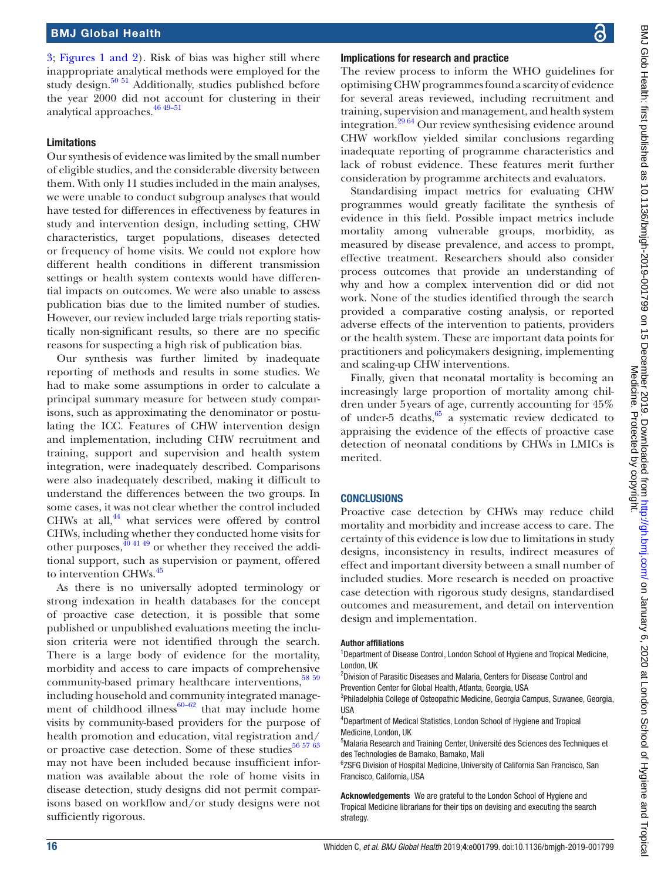[3](#page-8-0); Figures [1 and 2\)](#page-9-0). Risk of bias was higher still where inappropriate analytical methods were employed for the study design.<sup>[50 51](#page-17-7)</sup> Additionally, studies published before the year 2000 did not account for clustering in their analytical approaches.  $4649-51$ 

#### Limitations

Our synthesis of evidence was limited by the small number of eligible studies, and the considerable diversity between them. With only 11 studies included in the main analyses, we were unable to conduct subgroup analyses that would have tested for differences in effectiveness by features in study and intervention design, including setting, CHW characteristics, target populations, diseases detected or frequency of home visits. We could not explore how different health conditions in different transmission settings or health system contexts would have differential impacts on outcomes. We were also unable to assess publication bias due to the limited number of studies. However, our review included large trials reporting statistically non-significant results, so there are no specific reasons for suspecting a high risk of publication bias.

Our synthesis was further limited by inadequate reporting of methods and results in some studies. We had to make some assumptions in order to calculate a principal summary measure for between study comparisons, such as approximating the denominator or postulating the ICC. Features of CHW intervention design and implementation, including CHW recruitment and training, support and supervision and health system integration, were inadequately described. Comparisons were also inadequately described, making it difficult to understand the differences between the two groups. In some cases, it was not clear whether the control included CHWs at all, $^{44}$  what services were offered by control CHWs, including whether they conducted home visits for other purposes, $\frac{904149}{9}$  or whether they received the additional support, such as supervision or payment, offered to intervention CHWs.<sup>45</sup>

As there is no universally adopted terminology or strong indexation in health databases for the concept of proactive case detection, it is possible that some published or unpublished evaluations meeting the inclusion criteria were not identified through the search. There is a large body of evidence for the mortality, morbidity and access to care impacts of comprehensive community-based primary healthcare interventions,<sup>58 59</sup> including household and community integrated management of childhood illness $60-62$  that may include home visits by community-based providers for the purpose of health promotion and education, vital registration and/ or proactive case detection. Some of these studies<sup>[56 57 63](#page-17-18)</sup> may not have been included because insufficient information was available about the role of home visits in disease detection, study designs did not permit comparisons based on workflow and/or study designs were not sufficiently rigorous.

#### Implications for research and practice

The review process to inform the WHO guidelines for optimising CHW programmes found a scarcity of evidence for several areas reviewed, including recruitment and training, supervision and management, and health system integration[.29 64](#page-16-7) Our review synthesising evidence around CHW workflow yielded similar conclusions regarding inadequate reporting of programme characteristics and lack of robust evidence. These features merit further consideration by programme architects and evaluators.

Standardising impact metrics for evaluating CHW programmes would greatly facilitate the synthesis of evidence in this field. Possible impact metrics include mortality among vulnerable groups, morbidity, as measured by disease prevalence, and access to prompt, effective treatment. Researchers should also consider process outcomes that provide an understanding of why and how a complex intervention did or did not work. None of the studies identified through the search provided a comparative costing analysis, or reported adverse effects of the intervention to patients, providers or the health system. These are important data points for practitioners and policymakers designing, implementing and scaling-up CHW interventions.

Finally, given that neonatal mortality is becoming an increasingly large proportion of mortality among children under 5years of age, currently accounting for 45% of under-5 deaths, $65$  a systematic review dedicated to appraising the evidence of the effects of proactive case detection of neonatal conditions by CHWs in LMICs is merited.

#### **CONCLUSIONS**

Proactive case detection by CHWs may reduce child mortality and morbidity and increase access to care. The certainty of this evidence is low due to limitations in study designs, inconsistency in results, indirect measures of effect and important diversity between a small number of included studies. More research is needed on proactive case detection with rigorous study designs, standardised outcomes and measurement, and detail on intervention design and implementation.

#### Author affiliations

<sup>1</sup>Department of Disease Control, London School of Hygiene and Tropical Medicine, London, UK

<sup>2</sup>Division of Parasitic Diseases and Malaria, Centers for Disease Control and Prevention Center for Global Health, Atlanta, Georgia, USA

<sup>3</sup>Philadelphia College of Osteopathic Medicine, Georgia Campus, Suwanee, Georgia, **IISA** 

4 Department of Medical Statistics, London School of Hygiene and Tropical Medicine, London, UK

<sup>5</sup>Malaria Research and Training Center, Université des Sciences des Techniques et des Technologies de Bamako, Bamako, Mali

<sup>6</sup>ZSFG Division of Hospital Medicine, University of California San Francisco, San Francisco, California, USA

Acknowledgements We are grateful to the London School of Hygiene and Tropical Medicine librarians for their tips on devising and executing the search strategy.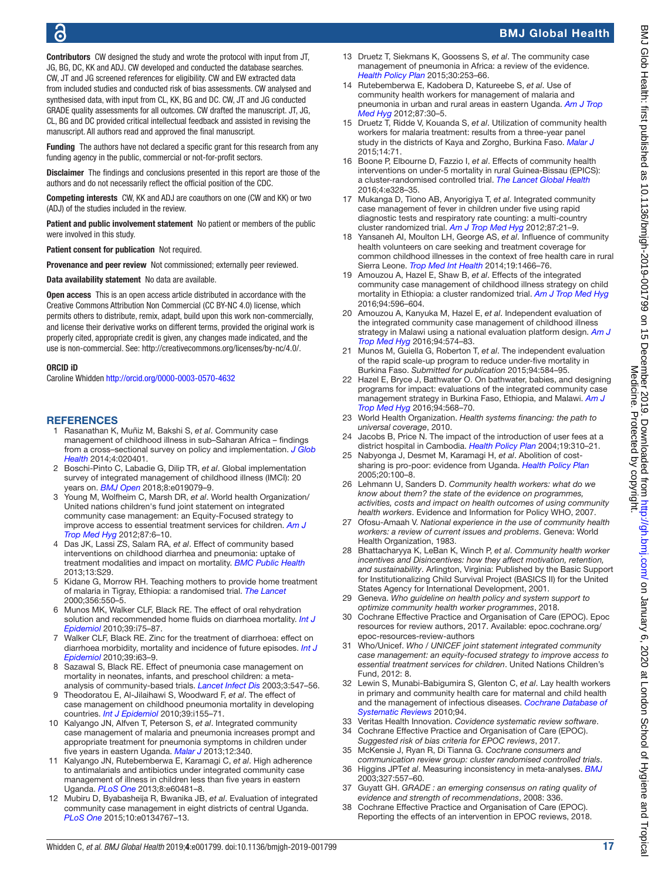Contributors CW designed the study and wrote the protocol with input from JT. JG, BG, DC, KK and ADJ. CW developed and conducted the database searches. CW, JT and JG screened references for eligibility. CW and EW extracted data from included studies and conducted risk of bias assessments. CW analysed and synthesised data, with input from CL, KK, BG and DC. CW, JT and JG conducted GRADE quality assessments for all outcomes. CW drafted the manuscript. JT, JG, CL, BG and DC provided critical intellectual feedback and assisted in revising the manuscript. All authors read and approved the final manuscript.

Funding The authors have not declared a specific grant for this research from any funding agency in the public, commercial or not-for-profit sectors.

Disclaimer The findings and conclusions presented in this report are those of the authors and do not necessarily reflect the official position of the CDC.

Competing interests CW, KK and ADJ are coauthors on one (CW and KK) or two (ADJ) of the studies included in the review.

Patient and public involvement statement No patient or members of the public were involved in this study.

Patient consent for publication Not required.

Provenance and peer review Not commissioned; externally peer reviewed.

Data availability statement No data are available.

Open access This is an open access article distributed in accordance with the Creative Commons Attribution Non Commercial (CC BY-NC 4.0) license, which permits others to distribute, remix, adapt, build upon this work non-commercially, and license their derivative works on different terms, provided the original work is properly cited, appropriate credit is given, any changes made indicated, and the use is non-commercial. See:<http://creativecommons.org/licenses/by-nc/4.0/>.

#### ORCID iD

Caroline Whidden <http://orcid.org/0000-0003-0570-4632>

#### **REFERENCES**

- <span id="page-16-0"></span>1 Rasanathan K, Muñiz M, Bakshi S, *et al*. Community case management of childhood illness in sub–Saharan Africa – findings from a cross–sectional survey on policy and implementation. *[J Glob](http://dx.doi.org/10.7189/jogh.04.020401)  [Health](http://dx.doi.org/10.7189/jogh.04.020401)* 2014;4:020401.
- 2 Boschi-Pinto C, Labadie G, Dilip TR, *et al*. Global implementation survey of integrated management of childhood illness (IMCI): 20 years on. *[BMJ Open](http://dx.doi.org/10.1136/bmjopen-2017-019079)* 2018;8:e019079–9.
- <span id="page-16-1"></span>3 Young M, Wolfheim C, Marsh DR, *et al*. World health Organization/ United nations children's fund joint statement on integrated community case management: an Equity-Focused strategy to improve access to essential treatment services for children. *[Am J](http://dx.doi.org/10.4269/ajtmh.2012.12-0221)  [Trop Med Hyg](http://dx.doi.org/10.4269/ajtmh.2012.12-0221)* 2012;87:6–10.
- <span id="page-16-2"></span>4 Das JK, Lassi ZS, Salam RA, *et al*. Effect of community based interventions on childhood diarrhea and pneumonia: uptake of treatment modalities and impact on mortality. *[BMC Public Health](http://dx.doi.org/10.1186/1471-2458-13-S3-S29)* 2013;13:S29.
- Kidane G, Morrow RH. Teaching mothers to provide home treatment of malaria in Tigray, Ethiopia: a randomised trial. *[The Lancet](http://dx.doi.org/10.1016/S0140-6736(00)02580-0)* 2000;356:550–5.
- 6 Munos MK, Walker CLF, Black RE. The effect of oral rehydration solution and recommended home fluids on diarrhoea mortality. *[Int J](http://dx.doi.org/10.1093/ije/dyq025)  [Epidemiol](http://dx.doi.org/10.1093/ije/dyq025)* 2010;39:i75–87.
- 7 Walker CLF, Black RE. Zinc for the treatment of diarrhoea: effect on diarrhoea morbidity, mortality and incidence of future episodes. *[Int J](http://dx.doi.org/10.1093/ije/dyq023)  [Epidemiol](http://dx.doi.org/10.1093/ije/dyq023)* 2010;39:i63–9.
- 8 Sazawal S, Black RE. Effect of pneumonia case management on mortality in neonates, infants, and preschool children: a metaanalysis of community-based trials. *[Lancet Infect Dis](http://dx.doi.org/10.1016/S1473-3099(03)00737-0)* 2003;3:547–56.
- 9 Theodoratou E, Al-Jilaihawi S, Woodward F, *et al*. The effect of case management on childhood pneumonia mortality in developing countries. *[Int J Epidemiol](http://dx.doi.org/10.1093/ije/dyq032)* 2010;39:i155–71.
- 10 Kalyango JN, Alfven T, Peterson S, *et al*. Integrated community case management of malaria and pneumonia increases prompt and appropriate treatment for pneumonia symptoms in children under five years in eastern Uganda. *[Malar J](http://dx.doi.org/10.1186/1475-2875-12-340)* 2013;12:340.
- 11 Kalyango JN, Rutebemberwa E, Karamagi C, *et al*. High adherence to antimalarials and antibiotics under integrated community case management of illness in children less than five years in eastern Uganda. *[PLoS One](http://dx.doi.org/10.1371/journal.pone.0060481)* 2013;8:e60481–8.
- 12 Mubiru D, Byabasheija R, Bwanika JB, *et al*. Evaluation of integrated community case management in eight districts of central Uganda. *[PLoS One](http://dx.doi.org/10.1371/journal.pone.0134767)* 2015;10:e0134767–13.
- <span id="page-16-3"></span>13 Druetz T, Siekmans K, Goossens S, *et al*. The community case management of pneumonia in Africa: a review of the evidence. *[Health Policy Plan](http://dx.doi.org/10.1093/heapol/czt104)* 2015;30:253–66.
- 14 Rutebemberwa E, Kadobera D, Katureebe S, *et al*. Use of community health workers for management of malaria and pneumonia in urban and rural areas in eastern Uganda. *[Am J Trop](http://dx.doi.org/10.4269/ajtmh.2012.11-0732)  [Med Hyg](http://dx.doi.org/10.4269/ajtmh.2012.11-0732)* 2012;87:30–5.
- 15 Druetz T, Ridde V, Kouanda S, *et al*. Utilization of community health workers for malaria treatment: results from a three-year panel study in the districts of Kaya and Zorgho, Burkina Faso. *[Malar J](http://dx.doi.org/10.1186/s12936-015-0591-9)* 2015;14:71.
- 16 Boone P, Elbourne D, Fazzio I, *et al*. Effects of community health interventions on under-5 mortality in rural Guinea-Bissau (EPICS): a cluster-randomised controlled trial. *[The Lancet Global Health](http://dx.doi.org/10.1016/S2214-109X(16)30048-1)* 2016;4:e328–35.
- 17 Mukanga D, Tiono AB, Anyorigiya T, *et al*. Integrated community case management of fever in children under five using rapid diagnostic tests and respiratory rate counting: a multi-country cluster randomized trial. *[Am J Trop Med Hyg](http://dx.doi.org/10.4269/ajtmh.2012.11-0816)* 2012;87:21–9.
- 18 Yansaneh AI, Moulton LH, George AS, *et al*. Influence of community health volunteers on care seeking and treatment coverage for common childhood illnesses in the context of free health care in rural Sierra Leone. *[Trop Med Int Health](http://dx.doi.org/10.1111/tmi.12383)* 2014;19:1466–76.
- <span id="page-16-4"></span>19 Amouzou A, Hazel E, Shaw B, *et al*. Effects of the integrated community case management of childhood illness strategy on child mortality in Ethiopia: a cluster randomized trial. *[Am J Trop Med Hyg](http://dx.doi.org/10.4269/ajtmh.15-0586)* 2016;94:596–604.
- 20 Amouzou A, Kanyuka M, Hazel E, *et al*. Independent evaluation of the integrated community case management of childhood illness strategy in Malawi using a national evaluation platform design. *[Am J](http://dx.doi.org/10.4269/ajtmh.15-0584)  [Trop Med Hyg](http://dx.doi.org/10.4269/ajtmh.15-0584)* 2016;94:574–83.
- 21 Munos M, Guiella G, Roberton T, *et al*. The independent evaluation of the rapid scale-up program to reduce under-five mortality in Burkina Faso. *Submitted for publication* 2015;94:584–95.
- 22 Hazel E, Bryce J, Bathwater O. On bathwater, babies, and designing programs for impact: evaluations of the integrated community case management strategy in Burkina Faso, Ethiopia, and Malawi. *[Am J](http://dx.doi.org/10.4269/ajtmh.94-3intro1)  [Trop Med Hyg](http://dx.doi.org/10.4269/ajtmh.94-3intro1)* 2016;94:568–70.
- <span id="page-16-5"></span>23 World Health Organization. *Health systems financing: the path to universal coverage*, 2010.
- 24 Jacobs B, Price N. The impact of the introduction of user fees at a district hospital in Cambodia. *[Health Policy Plan](http://dx.doi.org/10.1093/heapol/czh036)* 2004;19:310–21.
- 25 Nabyonga J, Desmet M, Karamagi H, *et al*. Abolition of costsharing is pro-poor: evidence from Uganda. *[Health Policy Plan](http://dx.doi.org/10.1093/heapol/czi012)* 2005;20:100–8.
- <span id="page-16-6"></span>26 Lehmann U, Sanders D. *Community health workers: what do we know about them? the state of the evidence on programmes, activities, costs and impact on health outcomes of using community health workers*. Evidence and Information for Policy WHO, 2007.
- 27 Ofosu-Amaah V. *National experience in the use of community health workers: a review of current issues and problems*. Geneva: World Health Organization, 1983.
- 28 Bhattacharyya K, LeBan K, Winch P, *et al*. *Community health worker incentives and Disincentives: how they affect motivation, retention, and sustainability*. Arlington, Virginia: Published by the Basic Support for Institutionalizing Child Survival Project (BASICS II) for the United States Agency for International Development, 2001.
- <span id="page-16-7"></span>29 Geneva. *Who guideline on health policy and system support to optimize community health worker programmes*, 2018.
- <span id="page-16-8"></span>30 Cochrane Effective Practice and Organisation of Care (EPOC). Epoc resources for review authors, 2017. Available: [epoc.cochrane.org/](epoc.cochrane.org/epoc-resources-review-authors) [epoc-resources-review-authors](epoc.cochrane.org/epoc-resources-review-authors)
- <span id="page-16-9"></span>31 Who/Unicef. *Who / UNICEF joint statement integrated community case management: an equity-focused strategy to improve access to essential treatment services for children*. United Nations Children's Fund, 2012: 8.
- <span id="page-16-10"></span>32 Lewin S, Munabi-Babigumira S, Glenton C, *et al*. Lay health workers in primary and community health care for maternal and child health and the management of infectious diseases. *[Cochrane Database of](http://dx.doi.org/10.1002/14651858.CD004015.pub3)  [Systematic Reviews](http://dx.doi.org/10.1002/14651858.CD004015.pub3)* 2010;94.
- <span id="page-16-12"></span><span id="page-16-11"></span>33 Veritas Health Innovation. *Covidence systematic review software*. 34 Cochrane Effective Practice and Organisation of Care (EPOC).
- *Suggested risk of bias criteria for EPOC reviews*, 2017.
- <span id="page-16-13"></span>35 McKensie J, Ryan R, Di Tianna G. *Cochrane consumers and communication review group: cluster randomised controlled trials*.
- <span id="page-16-14"></span>36 Higgins JPT*et al*. Measuring inconsistency in meta-analyses. *[BMJ](http://dx.doi.org/10.1136/bmj.327.7414.557)* 2003;327:557–60.
- <span id="page-16-15"></span>37 Guyatt GH. *GRADE : an emerging consensus on rating quality of evidence and strength of recommendations*, 2008: 336.
- Cochrane Effective Practice and Organisation of Care (EPOC). Reporting the effects of an intervention in EPOC reviews, 2018.